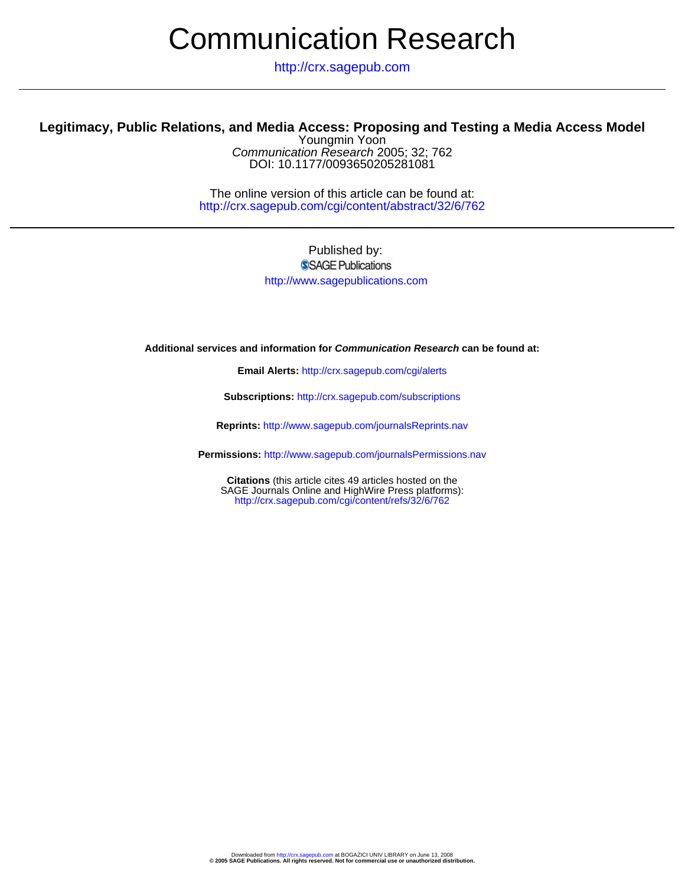# Communication Research

http://crx.sagepub.com

# **Legitimacy, Public Relations, and Media Access: Proposing and Testing a Media Access Model**

DOI: 10.1177/0093650205281081 Communication Research 2005; 32; 762 Youngmin Yoon

http://crx.sagepub.com/cgi/content/abstract/32/6/762 The online version of this article can be found at:

# Published by: SSAGE Publications http://www.sagepublications.com

**Additional services and information for Communication Research can be found at:**

**Email Alerts:** <http://crx.sagepub.com/cgi/alerts>

**Subscriptions:** <http://crx.sagepub.com/subscriptions>

**Reprints:** <http://www.sagepub.com/journalsReprints.nav>

**Permissions:** <http://www.sagepub.com/journalsPermissions.nav>

<http://crx.sagepub.com/cgi/content/refs/32/6/762> SAGE Journals Online and HighWire Press platforms): **Citations** (this article cites 49 articles hosted on the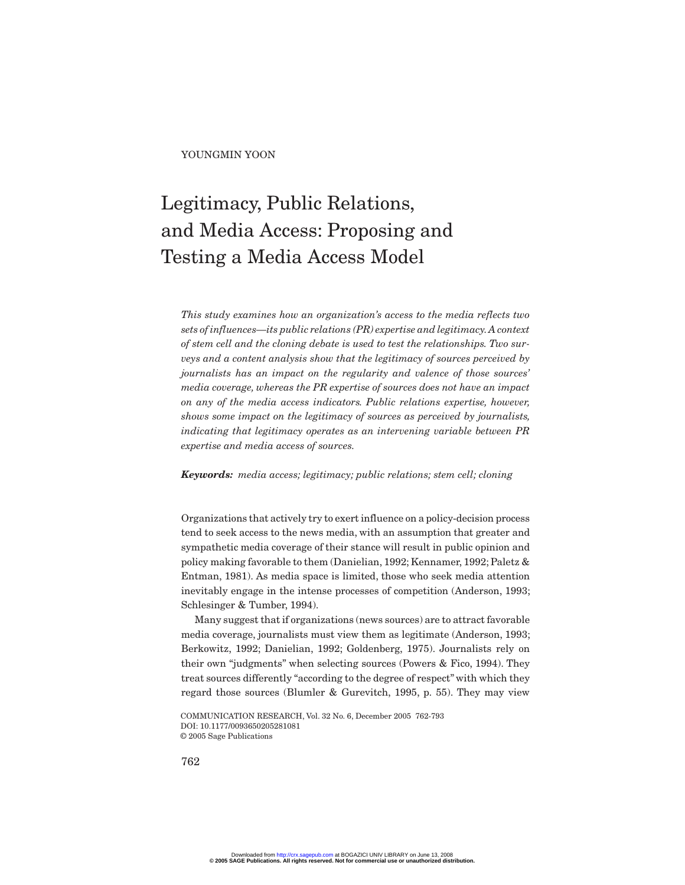YOUNGMIN YOON

# Legitimacy, Public Relations, and Media Access: Proposing and Testing a Media Access Model

*This study examines how an organization's access to the media reflects two sets of influences—its public relations (PR) expertise and legitimacy.A context of stem cell and the cloning debate is used to test the relationships. Two surveys and a content analysis show that the legitimacy of sources perceived by journalists has an impact on the regularity and valence of those sources' media coverage, whereas the PR expertise of sources does not have an impact on any of the media access indicators. Public relations expertise, however, shows some impact on the legitimacy of sources as perceived by journalists, indicating that legitimacy operates as an intervening variable between PR expertise and media access of sources.*

*Keywords: media access; legitimacy; public relations; stem cell; cloning*

Organizations that actively try to exert influence on a policy-decision process tend to seek access to the news media, with an assumption that greater and sympathetic media coverage of their stance will result in public opinion and policy making favorable to them (Danielian, 1992; Kennamer, 1992; Paletz & Entman, 1981). As media space is limited, those who seek media attention inevitably engage in the intense processes of competition (Anderson, 1993; Schlesinger & Tumber, 1994).

Many suggest that if organizations (news sources) are to attract favorable media coverage, journalists must view them as legitimate (Anderson, 1993; Berkowitz, 1992; Danielian, 1992; Goldenberg, 1975). Journalists rely on their own "judgments" when selecting sources (Powers & Fico, 1994). They treat sources differently "according to the degree of respect" with which they regard those sources (Blumler & Gurevitch, 1995, p. 55). They may view

COMMUNICATION RESEARCH, Vol. 32 No. 6, December 2005 762-793 DOI: 10.1177/0093650205281081 © 2005 Sage Publications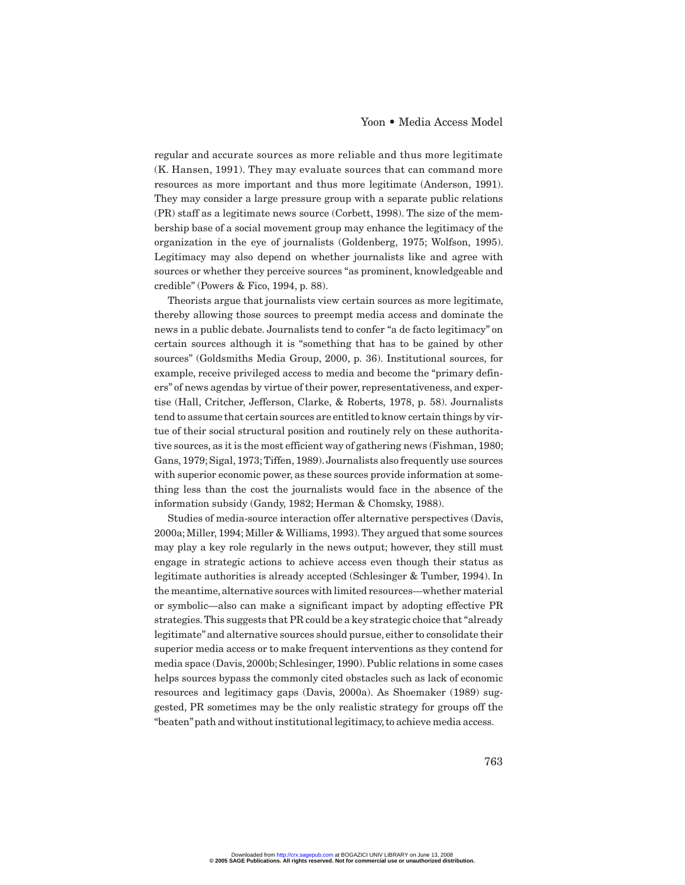regular and accurate sources as more reliable and thus more legitimate (K. Hansen, 1991). They may evaluate sources that can command more resources as more important and thus more legitimate (Anderson, 1991). They may consider a large pressure group with a separate public relations (PR) staff as a legitimate news source (Corbett, 1998). The size of the membership base of a social movement group may enhance the legitimacy of the organization in the eye of journalists (Goldenberg, 1975; Wolfson, 1995). Legitimacy may also depend on whether journalists like and agree with sources or whether they perceive sources "as prominent, knowledgeable and credible" (Powers & Fico, 1994, p. 88).

Theorists argue that journalists view certain sources as more legitimate, thereby allowing those sources to preempt media access and dominate the news in a public debate. Journalists tend to confer "a de facto legitimacy" on certain sources although it is "something that has to be gained by other sources" (Goldsmiths Media Group, 2000, p. 36). Institutional sources, for example, receive privileged access to media and become the "primary definers" of news agendas by virtue of their power, representativeness, and expertise (Hall, Critcher, Jefferson, Clarke, & Roberts, 1978, p. 58). Journalists tend to assume that certain sources are entitled to know certain things by virtue of their social structural position and routinely rely on these authoritative sources, as it is the most efficient way of gathering news (Fishman, 1980; Gans, 1979; Sigal, 1973; Tiffen, 1989). Journalists also frequently use sources with superior economic power, as these sources provide information at something less than the cost the journalists would face in the absence of the information subsidy (Gandy, 1982; Herman & Chomsky, 1988).

Studies of media-source interaction offer alternative perspectives (Davis, 2000a; Miller, 1994; Miller & Williams, 1993). They argued that some sources may play a key role regularly in the news output; however, they still must engage in strategic actions to achieve access even though their status as legitimate authorities is already accepted (Schlesinger & Tumber, 1994). In the meantime, alternative sources with limited resources—whether material or symbolic—also can make a significant impact by adopting effective PR strategies. This suggests that PR could be a key strategic choice that "already legitimate" and alternative sources should pursue, either to consolidate their superior media access or to make frequent interventions as they contend for media space (Davis, 2000b; Schlesinger, 1990). Public relations in some cases helps sources bypass the commonly cited obstacles such as lack of economic resources and legitimacy gaps (Davis, 2000a). As Shoemaker (1989) suggested, PR sometimes may be the only realistic strategy for groups off the "beaten"path and without institutional legitimacy,to achieve media access.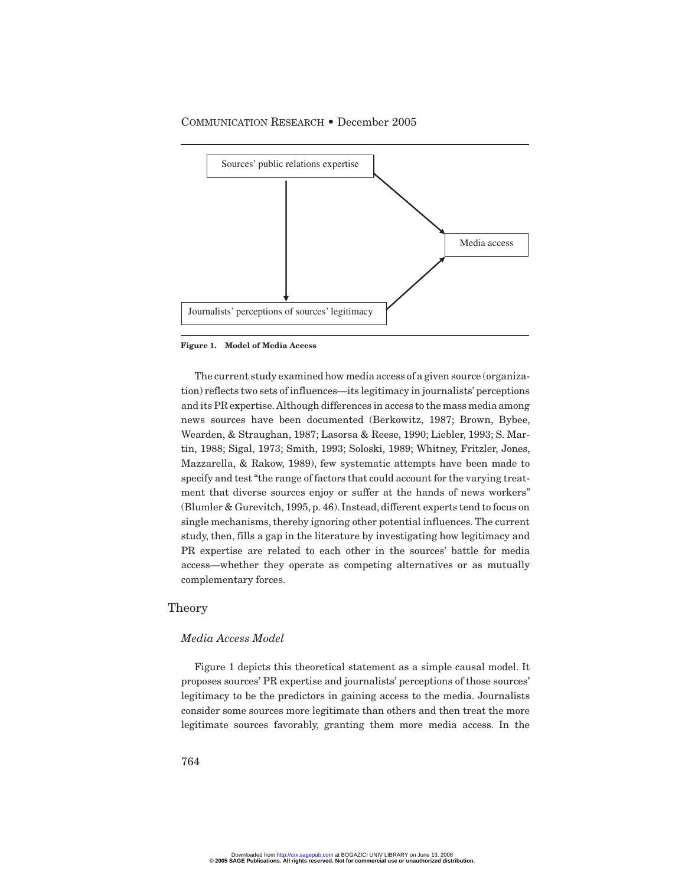

**Figure 1. Model of Media Access**

The current study examined how media access of a given source (organization) reflects two sets of influences—its legitimacy in journalists' perceptions and its PR expertise. Although differences in access to the mass media among news sources have been documented (Berkowitz, 1987; Brown, Bybee, Wearden, & Straughan, 1987; Lasorsa & Reese, 1990; Liebler, 1993; S. Martin, 1988; Sigal, 1973; Smith, 1993; Soloski, 1989; Whitney, Fritzler, Jones, Mazzarella, & Rakow, 1989), few systematic attempts have been made to specify and test "the range of factors that could account for the varying treatment that diverse sources enjoy or suffer at the hands of news workers" (Blumler & Gurevitch, 1995, p. 46). Instead, different experts tend to focus on single mechanisms, thereby ignoring other potential influences. The current study, then, fills a gap in the literature by investigating how legitimacy and PR expertise are related to each other in the sources' battle for media access—whether they operate as competing alternatives or as mutually complementary forces.

#### Theory

#### *Media Access Model*

Figure 1 depicts this theoretical statement as a simple causal model. It proposes sources' PR expertise and journalists' perceptions of those sources' legitimacy to be the predictors in gaining access to the media. Journalists consider some sources more legitimate than others and then treat the more legitimate sources favorably, granting them more media access. In the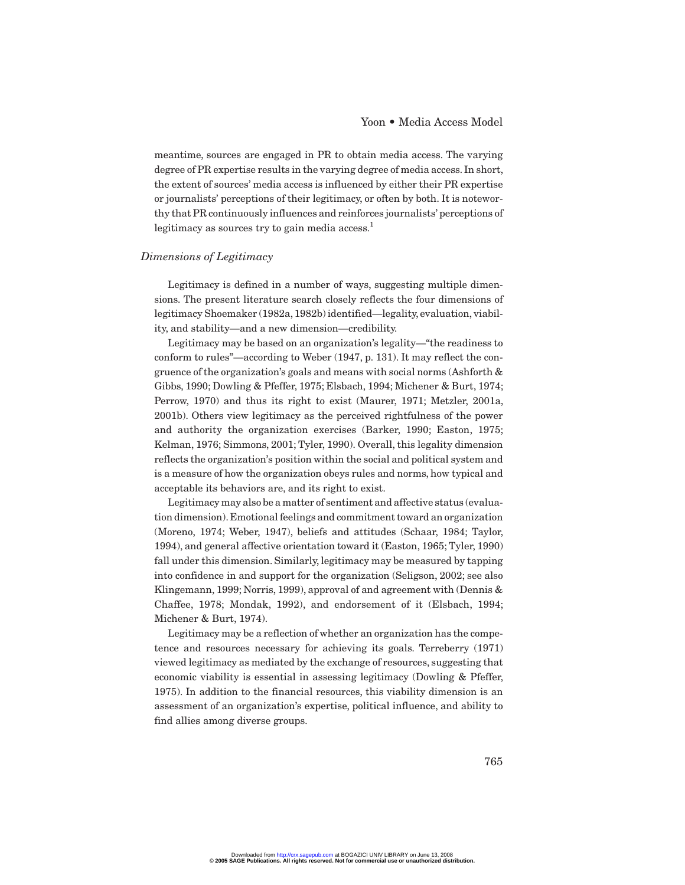meantime, sources are engaged in PR to obtain media access. The varying degree of PR expertise results in the varying degree of media access. In short, the extent of sources' media access is influenced by either their PR expertise or journalists' perceptions of their legitimacy, or often by both. It is noteworthy that PR continuously influences and reinforces journalists' perceptions of legitimacy as sources try to gain media  $\arccos s$ <sup>1</sup>.

#### *Dimensions of Legitimacy*

Legitimacy is defined in a number of ways, suggesting multiple dimensions. The present literature search closely reflects the four dimensions of legitimacy Shoemaker (1982a, 1982b) identified—legality, evaluation, viability, and stability—and a new dimension—credibility.

Legitimacy may be based on an organization's legality—"the readiness to conform to rules"—according to Weber (1947, p. 131). It may reflect the congruence of the organization's goals and means with social norms (Ashforth & Gibbs, 1990; Dowling & Pfeffer, 1975; Elsbach, 1994; Michener & Burt, 1974; Perrow, 1970) and thus its right to exist (Maurer, 1971; Metzler, 2001a, 2001b). Others view legitimacy as the perceived rightfulness of the power and authority the organization exercises (Barker, 1990; Easton, 1975; Kelman, 1976; Simmons, 2001; Tyler, 1990). Overall, this legality dimension reflects the organization's position within the social and political system and is a measure of how the organization obeys rules and norms, how typical and acceptable its behaviors are, and its right to exist.

Legitimacy may also be a matter of sentiment and affective status (evaluation dimension).Emotional feelings and commitment toward an organization (Moreno, 1974; Weber, 1947), beliefs and attitudes (Schaar, 1984; Taylor, 1994), and general affective orientation toward it (Easton, 1965; Tyler, 1990) fall under this dimension. Similarly, legitimacy may be measured by tapping into confidence in and support for the organization (Seligson, 2002; see also Klingemann, 1999; Norris, 1999), approval of and agreement with (Dennis & Chaffee, 1978; Mondak, 1992), and endorsement of it (Elsbach, 1994; Michener & Burt, 1974).

Legitimacy may be a reflection of whether an organization has the competence and resources necessary for achieving its goals. Terreberry (1971) viewed legitimacy as mediated by the exchange of resources, suggesting that economic viability is essential in assessing legitimacy (Dowling & Pfeffer, 1975). In addition to the financial resources, this viability dimension is an assessment of an organization's expertise, political influence, and ability to find allies among diverse groups.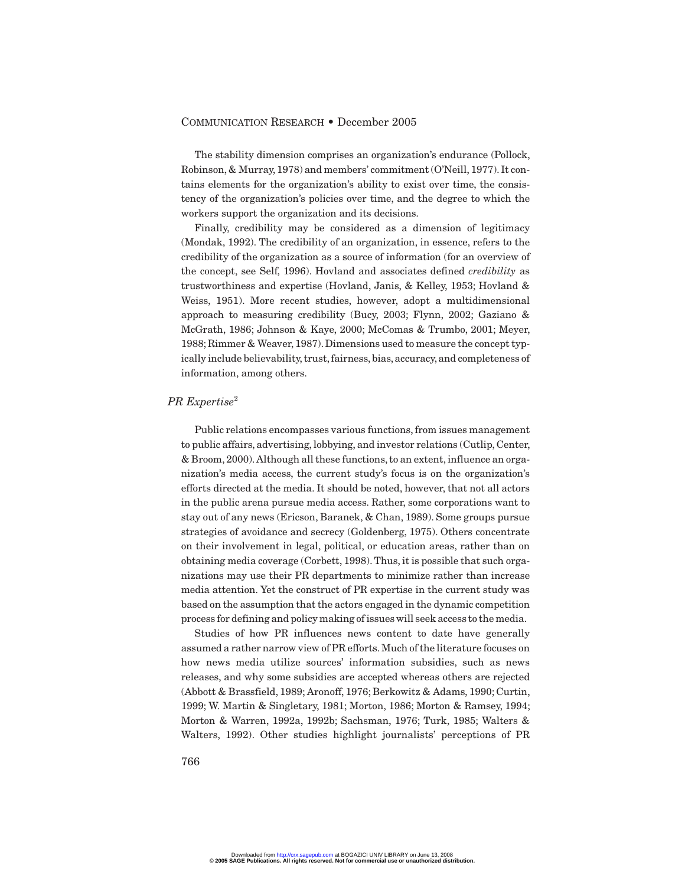The stability dimension comprises an organization's endurance (Pollock, Robinson, & Murray, 1978) and members' commitment (O'Neill, 1977). It contains elements for the organization's ability to exist over time, the consistency of the organization's policies over time, and the degree to which the workers support the organization and its decisions.

Finally, credibility may be considered as a dimension of legitimacy (Mondak, 1992). The credibility of an organization, in essence, refers to the credibility of the organization as a source of information (for an overview of the concept, see Self, 1996). Hovland and associates defined *credibility* as trustworthiness and expertise (Hovland, Janis, & Kelley, 1953; Hovland & Weiss, 1951). More recent studies, however, adopt a multidimensional approach to measuring credibility (Bucy, 2003; Flynn, 2002; Gaziano & McGrath, 1986; Johnson & Kaye, 2000; McComas & Trumbo, 2001; Meyer, 1988;Rimmer & Weaver, 1987).Dimensions used to measure the concept typically include believability,trust,fairness,bias,accuracy,and completeness of information, among others.

#### *PR Expertise*<sup>2</sup>

Public relations encompasses various functions, from issues management to public affairs, advertising, lobbying, and investor relations (Cutlip, Center, & Broom, 2000). Although all these functions, to an extent, influence an organization's media access, the current study's focus is on the organization's efforts directed at the media. It should be noted, however, that not all actors in the public arena pursue media access. Rather, some corporations want to stay out of any news (Ericson, Baranek, & Chan, 1989). Some groups pursue strategies of avoidance and secrecy (Goldenberg, 1975). Others concentrate on their involvement in legal, political, or education areas, rather than on obtaining media coverage (Corbett, 1998). Thus, it is possible that such organizations may use their PR departments to minimize rather than increase media attention. Yet the construct of PR expertise in the current study was based on the assumption that the actors engaged in the dynamic competition process for defining and policy making of issues will seek access to the media.

Studies of how PR influences news content to date have generally assumed a rather narrow view of PR efforts. Much of the literature focuses on how news media utilize sources' information subsidies, such as news releases, and why some subsidies are accepted whereas others are rejected (Abbott & Brassfield, 1989; Aronoff, 1976; Berkowitz & Adams, 1990; Curtin, 1999; W. Martin & Singletary, 1981; Morton, 1986; Morton & Ramsey, 1994; Morton & Warren, 1992a, 1992b; Sachsman, 1976; Turk, 1985; Walters & Walters, 1992). Other studies highlight journalists' perceptions of PR

766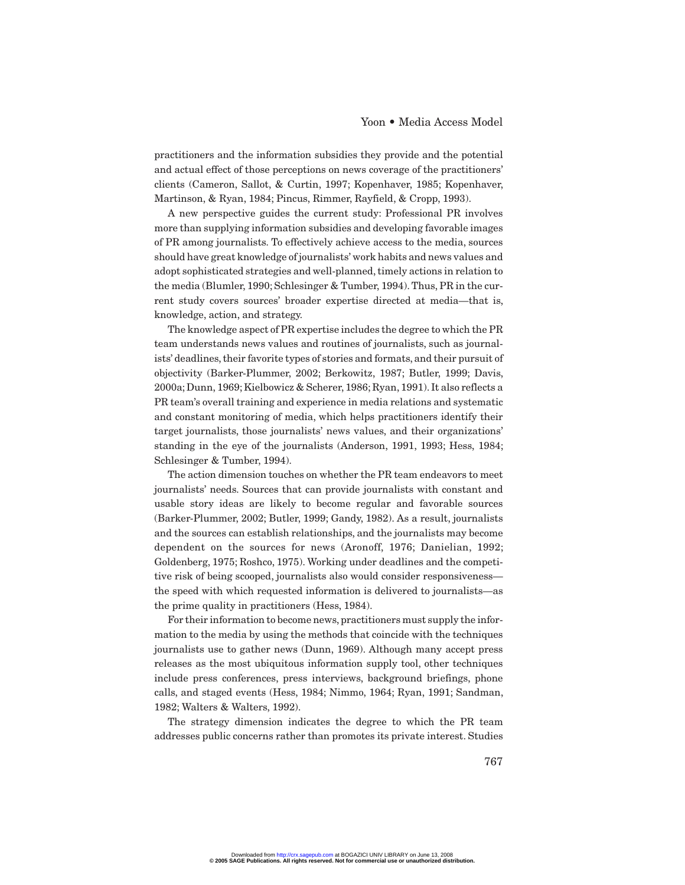practitioners and the information subsidies they provide and the potential and actual effect of those perceptions on news coverage of the practitioners' clients (Cameron, Sallot, & Curtin, 1997; Kopenhaver, 1985; Kopenhaver, Martinson, & Ryan, 1984; Pincus, Rimmer, Rayfield, & Cropp, 1993).

A new perspective guides the current study: Professional PR involves more than supplying information subsidies and developing favorable images of PR among journalists. To effectively achieve access to the media, sources should have great knowledge of journalists' work habits and news values and adopt sophisticated strategies and well-planned, timely actions in relation to the media (Blumler, 1990; Schlesinger & Tumber, 1994). Thus, PR in the current study covers sources' broader expertise directed at media—that is, knowledge, action, and strategy.

The knowledge aspect of PR expertise includes the degree to which the PR team understands news values and routines of journalists, such as journalists' deadlines, their favorite types of stories and formats, and their pursuit of objectivity (Barker-Plummer, 2002; Berkowitz, 1987; Butler, 1999; Davis, 2000a; Dunn, 1969; Kielbowicz & Scherer, 1986; Ryan, 1991). It also reflects a PR team's overall training and experience in media relations and systematic and constant monitoring of media, which helps practitioners identify their target journalists, those journalists' news values, and their organizations' standing in the eye of the journalists (Anderson, 1991, 1993; Hess, 1984; Schlesinger & Tumber, 1994).

The action dimension touches on whether the PR team endeavors to meet journalists' needs. Sources that can provide journalists with constant and usable story ideas are likely to become regular and favorable sources (Barker-Plummer, 2002; Butler, 1999; Gandy, 1982). As a result, journalists and the sources can establish relationships, and the journalists may become dependent on the sources for news (Aronoff, 1976; Danielian, 1992; Goldenberg, 1975; Roshco, 1975). Working under deadlines and the competitive risk of being scooped, journalists also would consider responsiveness the speed with which requested information is delivered to journalists—as the prime quality in practitioners (Hess, 1984).

For their information to become news, practitioners must supply the information to the media by using the methods that coincide with the techniques journalists use to gather news (Dunn, 1969). Although many accept press releases as the most ubiquitous information supply tool, other techniques include press conferences, press interviews, background briefings, phone calls, and staged events (Hess, 1984; Nimmo, 1964; Ryan, 1991; Sandman, 1982; Walters & Walters, 1992).

The strategy dimension indicates the degree to which the PR team addresses public concerns rather than promotes its private interest. Studies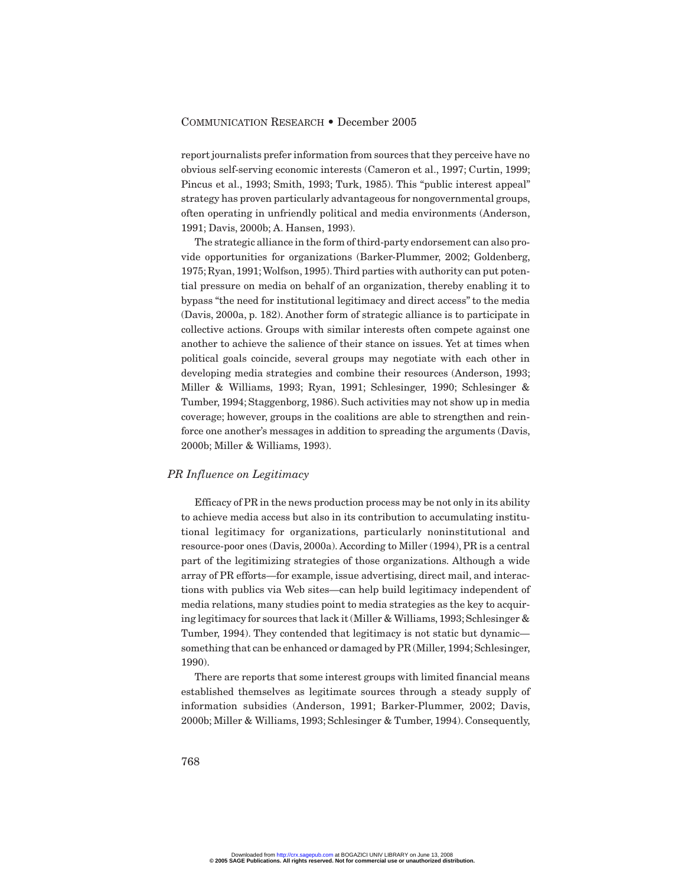report journalists prefer information from sources that they perceive have no obvious self-serving economic interests (Cameron et al., 1997; Curtin, 1999; Pincus et al., 1993; Smith, 1993; Turk, 1985). This "public interest appeal" strategy has proven particularly advantageous for nongovernmental groups, often operating in unfriendly political and media environments (Anderson, 1991; Davis, 2000b; A. Hansen, 1993).

The strategic alliance in the form of third-party endorsement can also provide opportunities for organizations (Barker-Plummer, 2002; Goldenberg, 1975;Ryan, 1991;Wolfson, 1995).Third parties with authority can put potential pressure on media on behalf of an organization, thereby enabling it to bypass "the need for institutional legitimacy and direct access" to the media (Davis, 2000a, p. 182). Another form of strategic alliance is to participate in collective actions. Groups with similar interests often compete against one another to achieve the salience of their stance on issues. Yet at times when political goals coincide, several groups may negotiate with each other in developing media strategies and combine their resources (Anderson, 1993; Miller & Williams, 1993; Ryan, 1991; Schlesinger, 1990; Schlesinger & Tumber, 1994; Staggenborg, 1986). Such activities may not show up in media coverage; however, groups in the coalitions are able to strengthen and reinforce one another's messages in addition to spreading the arguments (Davis, 2000b; Miller & Williams, 1993).

#### *PR Influence on Legitimacy*

Efficacy of PR in the news production process may be not only in its ability to achieve media access but also in its contribution to accumulating institutional legitimacy for organizations, particularly noninstitutional and resource-poor ones (Davis, 2000a). According to Miller (1994), PR is a central part of the legitimizing strategies of those organizations. Although a wide array of PR efforts—for example, issue advertising, direct mail, and interactions with publics via Web sites—can help build legitimacy independent of media relations, many studies point to media strategies as the key to acquiring legitimacy for sources that lack it (Miller & Williams, 1993; Schlesinger & Tumber, 1994). They contended that legitimacy is not static but dynamic something that can be enhanced or damaged by PR (Miller, 1994; Schlesinger, 1990).

There are reports that some interest groups with limited financial means established themselves as legitimate sources through a steady supply of information subsidies (Anderson, 1991; Barker-Plummer, 2002; Davis, 2000b; Miller & Williams, 1993; Schlesinger & Tumber, 1994). Consequently,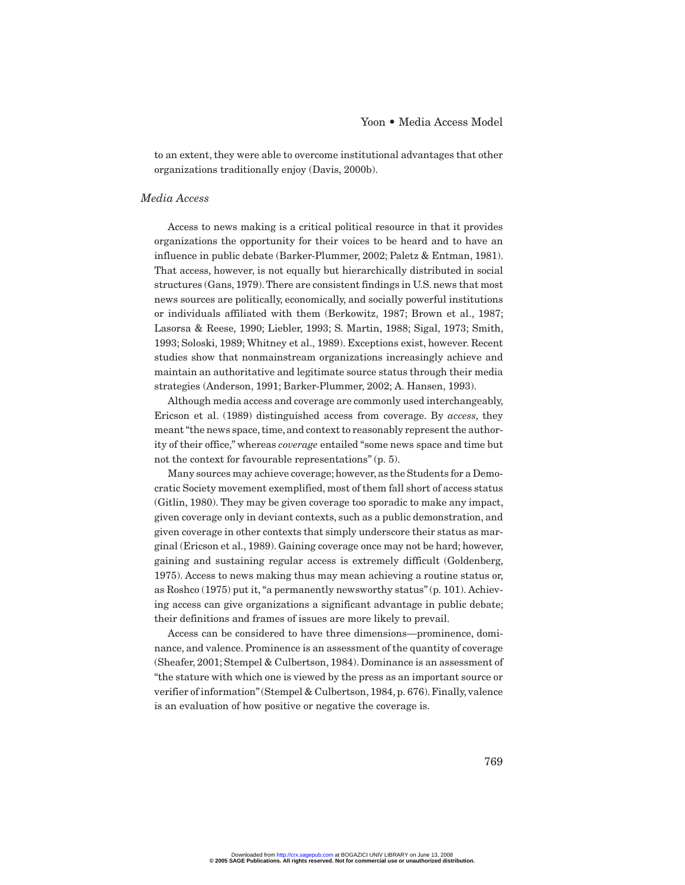to an extent, they were able to overcome institutional advantages that other organizations traditionally enjoy (Davis, 2000b).

#### *Media Access*

Access to news making is a critical political resource in that it provides organizations the opportunity for their voices to be heard and to have an influence in public debate (Barker-Plummer, 2002; Paletz & Entman, 1981). That access, however, is not equally but hierarchically distributed in social structures (Gans, 1979). There are consistent findings in U.S. news that most news sources are politically, economically, and socially powerful institutions or individuals affiliated with them (Berkowitz, 1987; Brown et al., 1987; Lasorsa & Reese, 1990; Liebler, 1993; S. Martin, 1988; Sigal, 1973; Smith, 1993; Soloski, 1989; Whitney et al., 1989). Exceptions exist, however. Recent studies show that nonmainstream organizations increasingly achieve and maintain an authoritative and legitimate source status through their media strategies (Anderson, 1991; Barker-Plummer, 2002; A. Hansen, 1993).

Although media access and coverage are commonly used interchangeably, Ericson et al. (1989) distinguished access from coverage. By *access*, they meant "the news space, time, and context to reasonably represent the authority of their office," whereas *coverage* entailed "some news space and time but not the context for favourable representations" (p. 5).

Many sources may achieve coverage; however, as the Students for a Democratic Society movement exemplified, most of them fall short of access status (Gitlin, 1980). They may be given coverage too sporadic to make any impact, given coverage only in deviant contexts, such as a public demonstration, and given coverage in other contexts that simply underscore their status as marginal (Ericson et al., 1989). Gaining coverage once may not be hard; however, gaining and sustaining regular access is extremely difficult (Goldenberg, 1975). Access to news making thus may mean achieving a routine status or, as Roshco (1975) put it, "a permanently newsworthy status" (p. 101). Achieving access can give organizations a significant advantage in public debate; their definitions and frames of issues are more likely to prevail.

Access can be considered to have three dimensions—prominence, dominance, and valence. Prominence is an assessment of the quantity of coverage (Sheafer, 2001; Stempel & Culbertson, 1984). Dominance is an assessment of "the stature with which one is viewed by the press as an important source or verifier of information" (Stempel & Culbertson, 1984, p. 676). Finally, valence is an evaluation of how positive or negative the coverage is.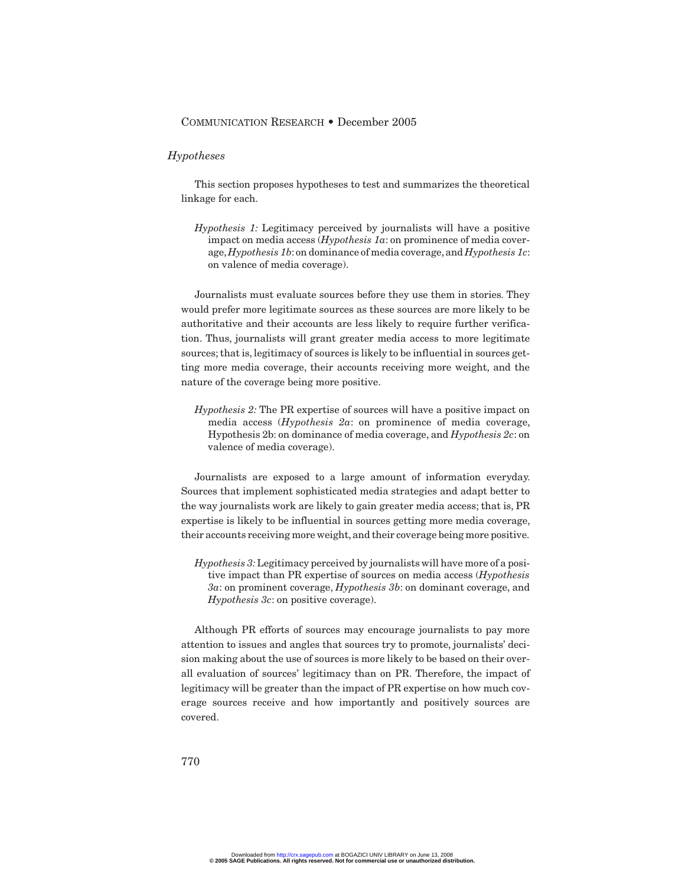#### *Hypotheses*

This section proposes hypotheses to test and summarizes the theoretical linkage for each.

*Hypothesis 1:* Legitimacy perceived by journalists will have a positive impact on media access (*Hypothesis 1a*: on prominence of media coverage,*Hypothesis 1b*:on dominance of media coverage,and *Hypothesis 1c*: on valence of media coverage).

Journalists must evaluate sources before they use them in stories. They would prefer more legitimate sources as these sources are more likely to be authoritative and their accounts are less likely to require further verification. Thus, journalists will grant greater media access to more legitimate sources; that is, legitimacy of sources is likely to be influential in sources getting more media coverage, their accounts receiving more weight, and the nature of the coverage being more positive.

*Hypothesis 2:* The PR expertise of sources will have a positive impact on media access (*Hypothesis 2a*: on prominence of media coverage, Hypothesis 2b: on dominance of media coverage, and *Hypothesis 2c*: on valence of media coverage).

Journalists are exposed to a large amount of information everyday. Sources that implement sophisticated media strategies and adapt better to the way journalists work are likely to gain greater media access; that is, PR expertise is likely to be influential in sources getting more media coverage, their accounts receiving more weight, and their coverage being more positive.

*Hypothesis 3:*Legitimacy perceived by journalists will have more of a positive impact than PR expertise of sources on media access (*Hypothesis 3a*: on prominent coverage, *Hypothesis 3b*: on dominant coverage, and *Hypothesis 3c*: on positive coverage).

Although PR efforts of sources may encourage journalists to pay more attention to issues and angles that sources try to promote, journalists' decision making about the use of sources is more likely to be based on their overall evaluation of sources' legitimacy than on PR. Therefore, the impact of legitimacy will be greater than the impact of PR expertise on how much coverage sources receive and how importantly and positively sources are covered.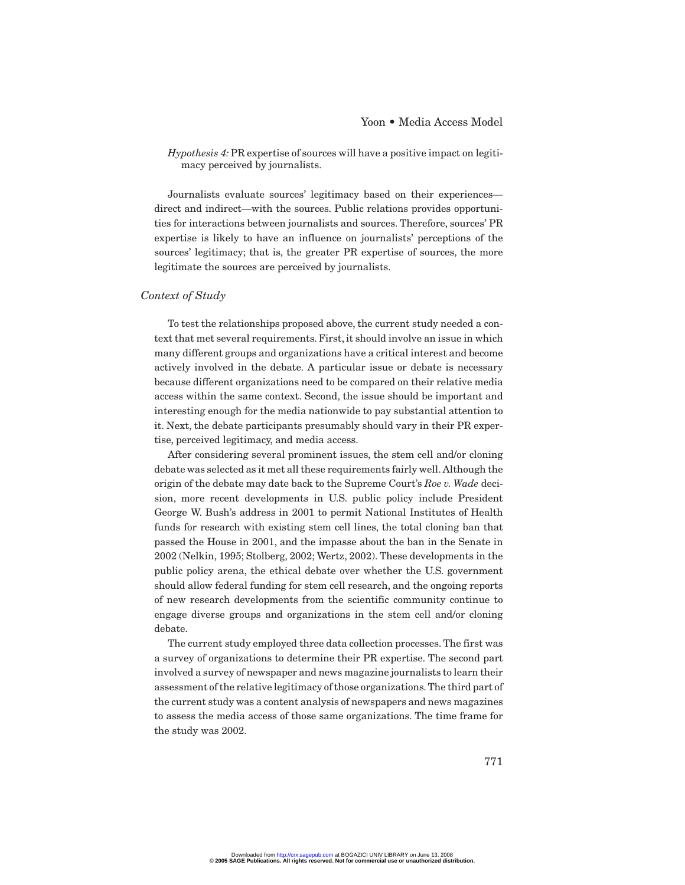*Hypothesis 4:* PR expertise of sources will have a positive impact on legitimacy perceived by journalists.

Journalists evaluate sources' legitimacy based on their experiences direct and indirect—with the sources. Public relations provides opportunities for interactions between journalists and sources. Therefore, sources' PR expertise is likely to have an influence on journalists' perceptions of the sources' legitimacy; that is, the greater PR expertise of sources, the more legitimate the sources are perceived by journalists.

#### *Context of Study*

To test the relationships proposed above, the current study needed a context that met several requirements. First, it should involve an issue in which many different groups and organizations have a critical interest and become actively involved in the debate. A particular issue or debate is necessary because different organizations need to be compared on their relative media access within the same context. Second, the issue should be important and interesting enough for the media nationwide to pay substantial attention to it. Next, the debate participants presumably should vary in their PR expertise, perceived legitimacy, and media access.

After considering several prominent issues, the stem cell and/or cloning debate was selected as it met all these requirements fairly well. Although the origin of the debate may date back to the Supreme Court's *Roe v. Wade* decision, more recent developments in U.S. public policy include President George W. Bush's address in 2001 to permit National Institutes of Health funds for research with existing stem cell lines, the total cloning ban that passed the House in 2001, and the impasse about the ban in the Senate in 2002 (Nelkin, 1995; Stolberg, 2002; Wertz, 2002). These developments in the public policy arena, the ethical debate over whether the U.S. government should allow federal funding for stem cell research, and the ongoing reports of new research developments from the scientific community continue to engage diverse groups and organizations in the stem cell and/or cloning debate.

The current study employed three data collection processes. The first was a survey of organizations to determine their PR expertise. The second part involved a survey of newspaper and news magazine journalists to learn their assessment of the relative legitimacy of those organizations. The third part of the current study was a content analysis of newspapers and news magazines to assess the media access of those same organizations. The time frame for the study was 2002.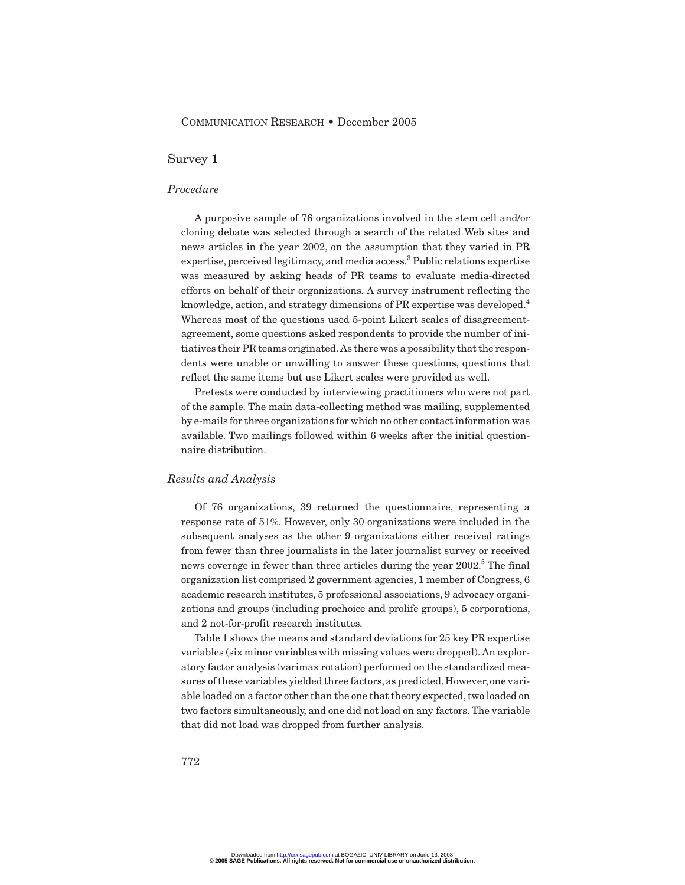#### Survey 1

#### *Procedure*

A purposive sample of 76 organizations involved in the stem cell and/or cloning debate was selected through a search of the related Web sites and news articles in the year 2002, on the assumption that they varied in PR expertise, perceived legitimacy, and media access.<sup>3</sup> Public relations expertise was measured by asking heads of PR teams to evaluate media-directed efforts on behalf of their organizations. A survey instrument reflecting the knowledge, action, and strategy dimensions of PR expertise was developed.<sup>4</sup> Whereas most of the questions used 5-point Likert scales of disagreementagreement, some questions asked respondents to provide the number of initiatives their PR teams originated. As there was a possibility that the respondents were unable or unwilling to answer these questions, questions that reflect the same items but use Likert scales were provided as well.

Pretests were conducted by interviewing practitioners who were not part of the sample. The main data-collecting method was mailing, supplemented by e-mails for three organizations for which no other contact information was available. Two mailings followed within 6 weeks after the initial questionnaire distribution.

#### *Results and Analysis*

Of 76 organizations, 39 returned the questionnaire, representing a response rate of 51%. However, only 30 organizations were included in the subsequent analyses as the other 9 organizations either received ratings from fewer than three journalists in the later journalist survey or received news coverage in fewer than three articles during the year 2002.<sup>5</sup> The final organization list comprised 2 government agencies, 1 member of Congress, 6 academic research institutes, 5 professional associations, 9 advocacy organizations and groups (including prochoice and prolife groups), 5 corporations, and 2 not-for-profit research institutes.

Table 1 shows the means and standard deviations for 25 key PR expertise variables (six minor variables with missing values were dropped). An exploratory factor analysis (varimax rotation) performed on the standardized measures of these variables yielded three factors, as predicted. However, one variable loaded on a factor other than the one that theory expected, two loaded on two factors simultaneously, and one did not load on any factors. The variable that did not load was dropped from further analysis.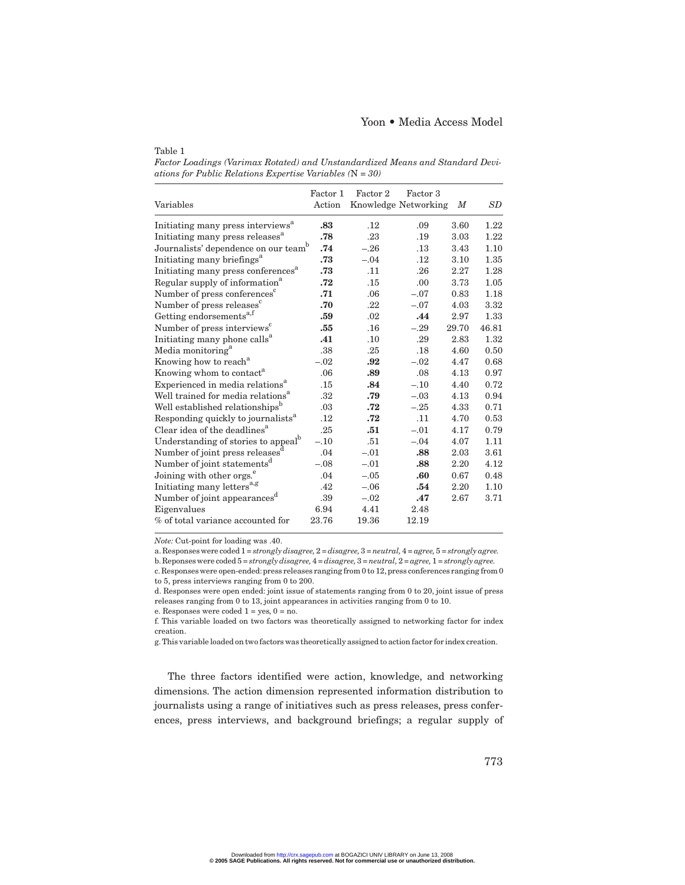*Factor Loadings (Varimax Rotated) and Unstandardized Means and Standard Deviations for Public Relations Expertise Variables (*N *= 30)*

|                                                  | Factor 1 | Factor 2 | Factor 3             |        |         |
|--------------------------------------------------|----------|----------|----------------------|--------|---------|
| Variables                                        | Action   |          | Knowledge Networking | $_{M}$ | $_{SD}$ |
| Initiating many press interviews <sup>a</sup>    | .83      | $.12\,$  | .09                  | 3.60   | 1.22    |
| Initiating many press releases <sup>"</sup>      | .78      | .23      | .19                  | 3.03   | 1.22    |
| Journalists' dependence on our team <sup>b</sup> | .74      | $-.26$   | .13                  | 3.43   | 1.10    |
| Initiating many briefings <sup>a</sup>           | .73      | $-.04$   | $.12\,$              | 3.10   | 1.35    |
| Initiating many press conferences <sup>a</sup>   | .73      | .11      | .26                  | 2.27   | 1.28    |
| Regular supply of information <sup>a</sup>       | .72      | .15      | .00                  | 3.73   | 1.05    |
| Number of press conferences <sup>c</sup>         | .71      | .06      | $-.07$               | 0.83   | 1.18    |
| Number of press releases <sup>c</sup>            | .70      | .22      | $-.07$               | 4.03   | 3.32    |
| Getting endorsements <sup>a,f</sup>              | .59      | .02      | .44                  | 2.97   | 1.33    |
| Number of press interviews <sup>c</sup>          | .55      | .16      | $-.29$               | 29.70  | 46.81   |
| Initiating many phone calls <sup>a</sup>         | .41      | .10      | .29                  | 2.83   | 1.32    |
| Media monitoring <sup>a</sup>                    | .38      | $.25\,$  | .18                  | 4.60   | 0.50    |
| Knowing how to reach <sup>a</sup>                | $-.02$   | .92      | $-.02$               | 4.47   | 0.68    |
| Knowing whom to contact <sup>a</sup>             | .06      | .89      | .08                  | 4.13   | 0.97    |
| Experienced in media relations <sup>a</sup>      | .15      | .84      | $-.10$               | 4.40   | 0.72    |
| Well trained for media relations <sup>a</sup>    | .32      | .79      | $-.03$               | 4.13   | 0.94    |
| Well established relationships <sup>b</sup>      | .03      | .72      | $-.25$               | 4.33   | 0.71    |
| Responding quickly to journalists <sup>a</sup>   | .12      | .72      | .11                  | 4.70   | 0.53    |
| Clear idea of the deadlines <sup>a</sup>         | .25      | .51      | $-.01$               | 4.17   | 0.79    |
| Understanding of stories to appeal <sup>b</sup>  | $-.10$   | .51      | $-.04$               | 4.07   | 1.11    |
| Number of joint press releases                   | .04      | $-.01$   | .88                  | 2.03   | 3.61    |
| Number of joint statements <sup>d</sup>          | $-.08$   | $-.01$   | .88                  | 2.20   | 4.12    |
| Joining with other orgs. <sup>e</sup>            | .04      | $-.05$   | .60                  | 0.67   | 0.48    |
| Initiating many letters <sup>a,g</sup>           | .42      | $-.06$   | .54                  | 2.20   | 1.10    |
| Number of joint appearances <sup>d</sup>         | .39      | $-.02$   | .47                  | 2.67   | 3.71    |
| Eigenvalues                                      | 6.94     | 4.41     | 2.48                 |        |         |
| % of total variance accounted for                | 23.76    | 19.36    | 12.19                |        |         |

*Note:* Cut-point for loading was .40.

Table 1

a. Responses were coded 1 = *strongly disagree,*2 = *disagree,* 3 = *neutral,*4 = *agree,*5 = *strongly agree.*

b. Reponses were coded 5 = *strongly disagree,*4 = *disagree,*3 = *neutral,*2 = *agree,*1 = *strongly agree.*

c. Responses were open-ended:press releases ranging from 0 to 12, press conferences ranging from 0 to 5, press interviews ranging from 0 to 200.

d. Responses were open ended: joint issue of statements ranging from 0 to 20, joint issue of press releases ranging from 0 to 13, joint appearances in activities ranging from 0 to 10.

e. Responses were coded  $1 = yes$ ,  $0 = no$ .

f. This variable loaded on two factors was theoretically assigned to networking factor for index creation.

g. This variable loaded on two factors was theoretically assigned to action factor for index creation.

The three factors identified were action, knowledge, and networking dimensions. The action dimension represented information distribution to journalists using a range of initiatives such as press releases, press conferences, press interviews, and background briefings; a regular supply of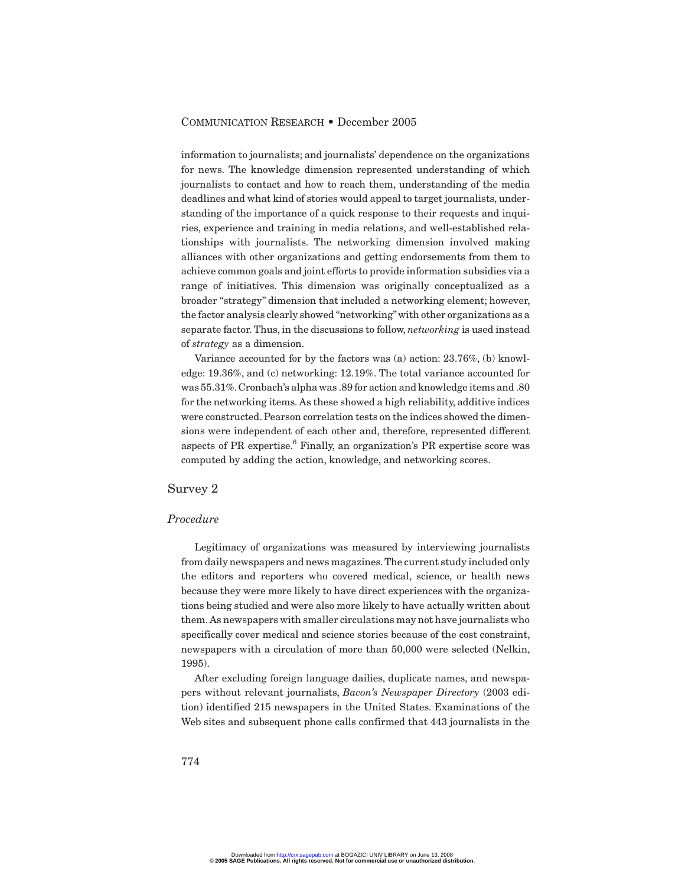information to journalists; and journalists' dependence on the organizations for news. The knowledge dimension represented understanding of which journalists to contact and how to reach them, understanding of the media deadlines and what kind of stories would appeal to target journalists, understanding of the importance of a quick response to their requests and inquiries, experience and training in media relations, and well-established relationships with journalists. The networking dimension involved making alliances with other organizations and getting endorsements from them to achieve common goals and joint efforts to provide information subsidies via a range of initiatives. This dimension was originally conceptualized as a broader "strategy" dimension that included a networking element; however, the factor analysis clearly showed "networking"with other organizations as a separate factor. Thus, in the discussions to follow, *networking* is used instead of *strategy* as a dimension.

Variance accounted for by the factors was (a) action: 23.76%, (b) knowledge: 19.36%, and (c) networking: 12.19%. The total variance accounted for was 55.31%.Cronbach's alpha was .89 for action and knowledge items and .80 for the networking items. As these showed a high reliability, additive indices were constructed. Pearson correlation tests on the indices showed the dimensions were independent of each other and, therefore, represented different aspects of PR expertise.<sup>6</sup> Finally, an organization's PR expertise score was computed by adding the action, knowledge, and networking scores.

#### Survey 2

#### *Procedure*

Legitimacy of organizations was measured by interviewing journalists from daily newspapers and news magazines. The current study included only the editors and reporters who covered medical, science, or health news because they were more likely to have direct experiences with the organizations being studied and were also more likely to have actually written about them. As newspapers with smaller circulations may not have journalists who specifically cover medical and science stories because of the cost constraint, newspapers with a circulation of more than 50,000 were selected (Nelkin, 1995).

After excluding foreign language dailies, duplicate names, and newspapers without relevant journalists, *Bacon's Newspaper Directory* (2003 edition) identified 215 newspapers in the United States. Examinations of the Web sites and subsequent phone calls confirmed that 443 journalists in the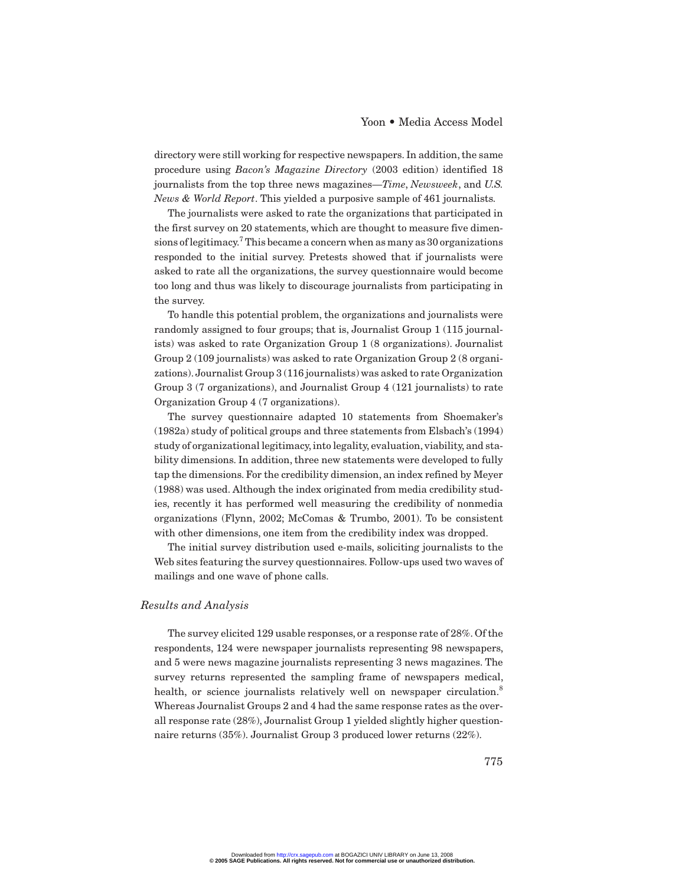directory were still working for respective newspapers. In addition, the same procedure using *Bacon's Magazine Directory* (2003 edition) identified 18 journalists from the top three news magazines—*Time*, *Newsweek*, and *U.S. News & World Report*. This yielded a purposive sample of 461 journalists.

The journalists were asked to rate the organizations that participated in the first survey on 20 statements, which are thought to measure five dimensions of legitimacy.<sup>7</sup> This became a concern when as many as 30 organizations responded to the initial survey. Pretests showed that if journalists were asked to rate all the organizations, the survey questionnaire would become too long and thus was likely to discourage journalists from participating in the survey.

To handle this potential problem, the organizations and journalists were randomly assigned to four groups; that is, Journalist Group 1 (115 journalists) was asked to rate Organization Group 1 (8 organizations). Journalist Group 2 (109 journalists) was asked to rate Organization Group 2 (8 organizations). Journalist Group 3 (116 journalists) was asked to rate Organization Group 3 (7 organizations), and Journalist Group 4 (121 journalists) to rate Organization Group 4 (7 organizations).

The survey questionnaire adapted 10 statements from Shoemaker's (1982a) study of political groups and three statements from Elsbach's (1994) study of organizational legitimacy, into legality, evaluation, viability, and stability dimensions. In addition, three new statements were developed to fully tap the dimensions. For the credibility dimension, an index refined by Meyer (1988) was used. Although the index originated from media credibility studies, recently it has performed well measuring the credibility of nonmedia organizations (Flynn, 2002; McComas & Trumbo, 2001). To be consistent with other dimensions, one item from the credibility index was dropped.

The initial survey distribution used e-mails, soliciting journalists to the Web sites featuring the survey questionnaires. Follow-ups used two waves of mailings and one wave of phone calls.

#### *Results and Analysis*

The survey elicited 129 usable responses, or a response rate of 28%. Of the respondents, 124 were newspaper journalists representing 98 newspapers, and 5 were news magazine journalists representing 3 news magazines. The survey returns represented the sampling frame of newspapers medical, health, or science journalists relatively well on newspaper circulation.<sup>8</sup> Whereas Journalist Groups 2 and 4 had the same response rates as the overall response rate (28%), Journalist Group 1 yielded slightly higher questionnaire returns (35%). Journalist Group 3 produced lower returns (22%).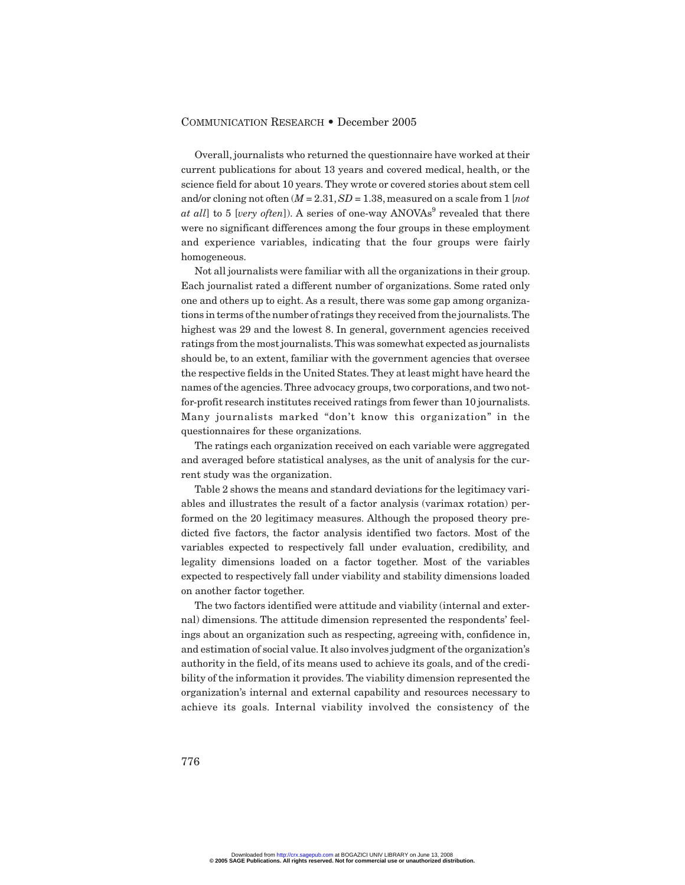Overall, journalists who returned the questionnaire have worked at their current publications for about 13 years and covered medical, health, or the science field for about 10 years. They wrote or covered stories about stem cell and/or cloning not often (*M* = 2.31,*SD* = 1.38, measured on a scale from 1 [*not at all*] to 5 [*very often*]). A series of one-way ANOVAs<sup>9</sup> revealed that there were no significant differences among the four groups in these employment and experience variables, indicating that the four groups were fairly homogeneous.

Not all journalists were familiar with all the organizations in their group. Each journalist rated a different number of organizations. Some rated only one and others up to eight. As a result, there was some gap among organizations in terms of the number of ratings they received from the journalists.The highest was 29 and the lowest 8. In general, government agencies received ratings from the most journalists.This was somewhat expected as journalists should be, to an extent, familiar with the government agencies that oversee the respective fields in the United States. They at least might have heard the names of the agencies. Three advocacy groups, two corporations, and two notfor-profit research institutes received ratings from fewer than 10 journalists. Many journalists marked "don't know this organization" in the questionnaires for these organizations.

The ratings each organization received on each variable were aggregated and averaged before statistical analyses, as the unit of analysis for the current study was the organization.

Table 2 shows the means and standard deviations for the legitimacy variables and illustrates the result of a factor analysis (varimax rotation) performed on the 20 legitimacy measures. Although the proposed theory predicted five factors, the factor analysis identified two factors. Most of the variables expected to respectively fall under evaluation, credibility, and legality dimensions loaded on a factor together. Most of the variables expected to respectively fall under viability and stability dimensions loaded on another factor together.

The two factors identified were attitude and viability (internal and external) dimensions. The attitude dimension represented the respondents' feelings about an organization such as respecting, agreeing with, confidence in, and estimation of social value. It also involves judgment of the organization's authority in the field, of its means used to achieve its goals, and of the credibility of the information it provides. The viability dimension represented the organization's internal and external capability and resources necessary to achieve its goals. Internal viability involved the consistency of the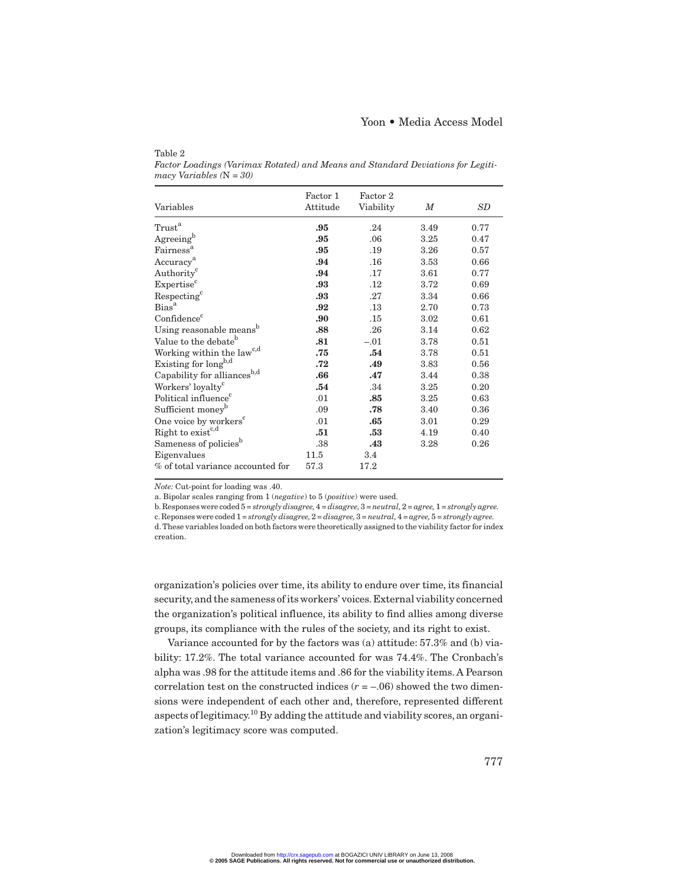| Variables                                 | Factor 1<br>Attitude | Factor 2<br>Viability | M    | SD   |
|-------------------------------------------|----------------------|-----------------------|------|------|
| $\operatorname{Trust}^{\operatorname{a}}$ | .95                  | .24                   | 3.49 | 0.77 |
| Agreeing <sup>b</sup>                     | .95                  | .06                   | 3.25 | 0.47 |
| Fairness <sup>a</sup>                     | .95                  | .19                   | 3.26 | 0.57 |
| Accuracy <sup>a</sup>                     | .94                  | .16                   | 3.53 | 0.66 |
| Authority <sup>c</sup>                    | .94                  | .17                   | 3.61 | 0.77 |
| Expertise <sup>c</sup>                    | .93                  | $.12\,$               | 3.72 | 0.69 |
| Respecting <sup>c</sup>                   | .93                  | .27                   | 3.34 | 0.66 |
| Bias <sup>a</sup>                         | .92                  | .13                   | 2.70 | 0.73 |
| Confidence <sup>c</sup>                   | .90                  | .15                   | 3.02 | 0.61 |
| Using reasonable means <sup>b</sup>       | .88                  | .26                   | 3.14 | 0.62 |
| Value to the debate <sup>b</sup>          | .81                  | $-.01$                | 3.78 | 0.51 |
| Working within the law <sup>c,d</sup>     | .75                  | .54                   | 3.78 | 0.51 |
| Existing for long <sup>b,d</sup>          | .72                  | .49                   | 3.83 | 0.56 |
| Capability for alliances <sup>b,d</sup>   | .66                  | .47                   | 3.44 | 0.38 |
| Workers' loyalty <sup>c</sup>             | .54                  | .34                   | 3.25 | 0.20 |
| Political influence <sup>c</sup>          | .01                  | .85                   | 3.25 | 0.63 |
| Sufficient money <sup>b</sup>             | .09                  | .78                   | 3.40 | 0.36 |
| One voice by workers <sup>c</sup>         | .01                  | .65                   | 3.01 | 0.29 |
| Right to exist <sup>c,d</sup>             | .51                  | .53                   | 4.19 | 0.40 |
| Sameness of policies <sup>b</sup>         | .38                  | .43                   | 3.28 | 0.26 |
| Eigenvalues                               | 11.5                 | 3.4                   |      |      |
| % of total variance accounted for         | 57.3                 | 17.2                  |      |      |

Table 2 *Factor Loadings (Varimax Rotated) and Means and Standard Deviations for Legitimacy Variables (*N *= 30)*

*Note:* Cut-point for loading was .40.

a. Bipolar scales ranging from 1 (*negative*) to 5 (*positive*) were used.

b. Responses were coded 5 = *strongly disagree,*4 = *disagree,* 3 = *neutral,*2 = *agree,* 1 = *strongly agree.* c. Reponses were coded 1 = *strongly disagree,*2 = *disagree,* 3 = *neutral,*4 = *agree,*5 = *strongly agree.* d. These variables loaded on both factors were theoretically assigned to the viability factor for index creation.

organization's policies over time, its ability to endure over time, its financial security,and the sameness of its workers' voices.External viability concerned the organization's political influence, its ability to find allies among diverse groups, its compliance with the rules of the society, and its right to exist.

Variance accounted for by the factors was (a) attitude: 57.3% and (b) viability: 17.2%. The total variance accounted for was 74.4%. The Cronbach's alpha was .98 for the attitude items and .86 for the viability items. A Pearson correlation test on the constructed indices  $(r = -.06)$  showed the two dimensions were independent of each other and, therefore, represented different aspects of legitimacy.<sup>10</sup> By adding the attitude and viability scores, an organization's legitimacy score was computed.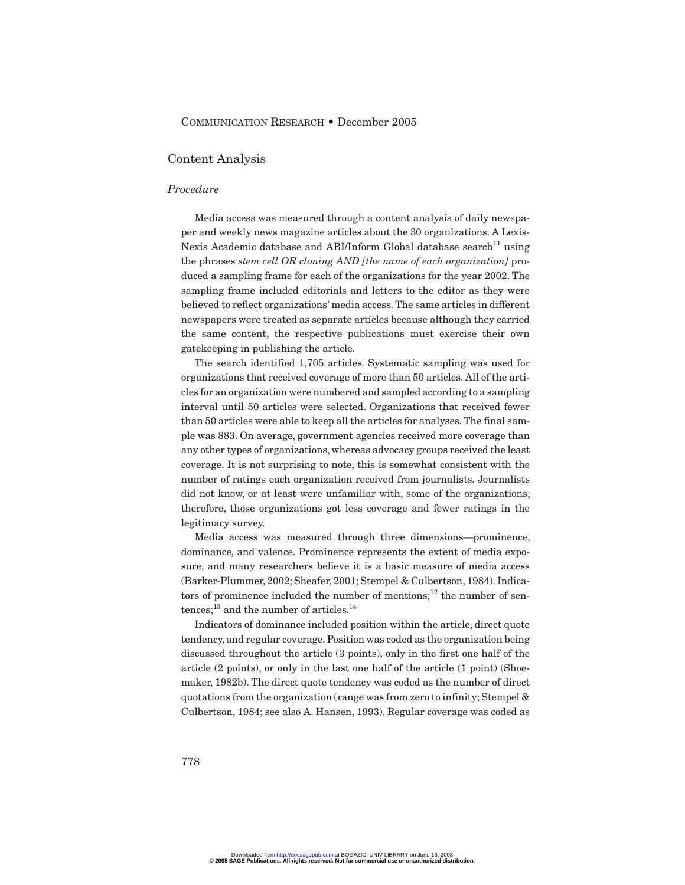#### Content Analysis

#### *Procedure*

Media access was measured through a content analysis of daily newspaper and weekly news magazine articles about the 30 organizations. A Lexis-Nexis Academic database and ABI/Inform Global database search<sup>11</sup> using the phrases *stem cell OR cloning AND [the name of each organization]* produced a sampling frame for each of the organizations for the year 2002. The sampling frame included editorials and letters to the editor as they were believed to reflect organizations' media access. The same articles in different newspapers were treated as separate articles because although they carried the same content, the respective publications must exercise their own gatekeeping in publishing the article.

The search identified 1,705 articles. Systematic sampling was used for organizations that received coverage of more than 50 articles. All of the articles for an organization were numbered and sampled according to a sampling interval until 50 articles were selected. Organizations that received fewer than 50 articles were able to keep all the articles for analyses. The final sample was 883. On average, government agencies received more coverage than any other types of organizations, whereas advocacy groups received the least coverage. It is not surprising to note, this is somewhat consistent with the number of ratings each organization received from journalists. Journalists did not know, or at least were unfamiliar with, some of the organizations; therefore, those organizations got less coverage and fewer ratings in the legitimacy survey.

Media access was measured through three dimensions—prominence, dominance, and valence. Prominence represents the extent of media exposure, and many researchers believe it is a basic measure of media access (Barker-Plummer, 2002; Sheafer, 2001; Stempel & Culbertson, 1984). Indicators of prominence included the number of mentions; $12$  the number of sen $tences;$ <sup>13</sup> and the number of articles.<sup>14</sup>

Indicators of dominance included position within the article, direct quote tendency, and regular coverage. Position was coded as the organization being discussed throughout the article (3 points), only in the first one half of the article (2 points), or only in the last one half of the article (1 point) (Shoemaker, 1982b). The direct quote tendency was coded as the number of direct quotations from the organization (range was from zero to infinity; Stempel & Culbertson, 1984; see also A. Hansen, 1993). Regular coverage was coded as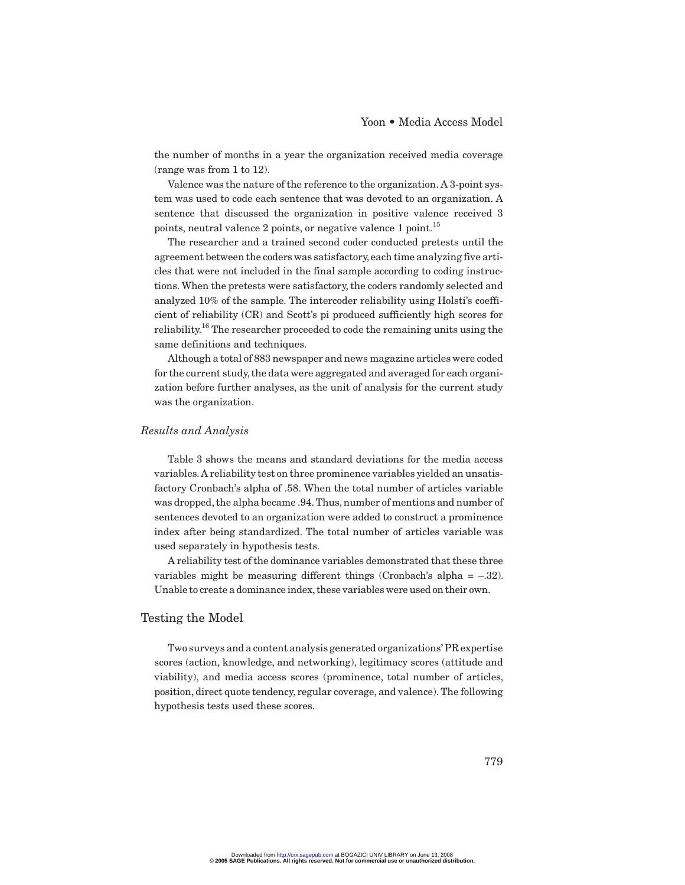the number of months in a year the organization received media coverage (range was from 1 to 12).

Valence was the nature of the reference to the organization. A 3-point system was used to code each sentence that was devoted to an organization. A sentence that discussed the organization in positive valence received 3 points, neutral valence 2 points, or negative valence 1 point.<sup>15</sup>

The researcher and a trained second coder conducted pretests until the agreement between the coders was satisfactory,each time analyzing five articles that were not included in the final sample according to coding instructions. When the pretests were satisfactory, the coders randomly selected and analyzed 10% of the sample. The intercoder reliability using Holsti's coefficient of reliability (CR) and Scott's pi produced sufficiently high scores for reliability.<sup>16</sup> The researcher proceeded to code the remaining units using the same definitions and techniques.

Although a total of 883 newspaper and news magazine articles were coded for the current study, the data were aggregated and averaged for each organization before further analyses, as the unit of analysis for the current study was the organization.

#### *Results and Analysis*

Table 3 shows the means and standard deviations for the media access variables. A reliability test on three prominence variables yielded an unsatisfactory Cronbach's alpha of .58. When the total number of articles variable was dropped, the alpha became .94. Thus, number of mentions and number of sentences devoted to an organization were added to construct a prominence index after being standardized. The total number of articles variable was used separately in hypothesis tests.

A reliability test of the dominance variables demonstrated that these three variables might be measuring different things (Cronbach's alpha  $=$  -.32). Unable to create a dominance index, these variables were used on their own.

#### Testing the Model

Two surveys and a content analysis generated organizations' PR expertise scores (action, knowledge, and networking), legitimacy scores (attitude and viability), and media access scores (prominence, total number of articles, position, direct quote tendency, regular coverage, and valence). The following hypothesis tests used these scores.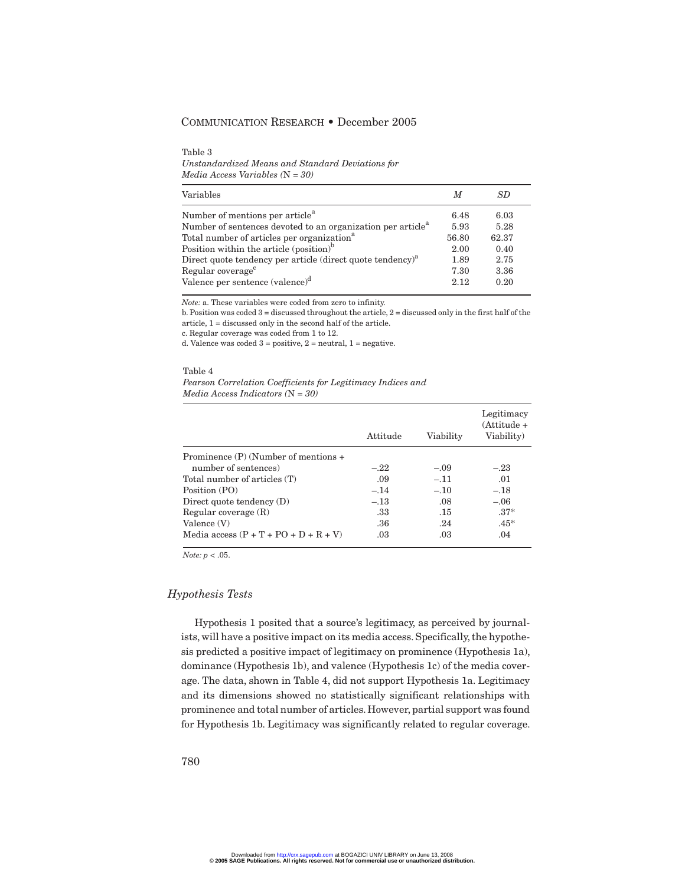Table 3 *Unstandardized Means and Standard Deviations for Media Access Variables (*N *= 30)*

| Variables                                                               | M     | SD    |
|-------------------------------------------------------------------------|-------|-------|
| Number of mentions per article <sup>a</sup>                             | 6.48  | 6.03  |
| Number of sentences devoted to an organization per article <sup>a</sup> | 5.93  | 5.28  |
| Total number of articles per organization <sup>a</sup>                  | 56.80 | 62.37 |
| Position within the article (position) <sup>b</sup>                     | 2.00  | 0.40  |
| Direct quote tendency per article (direct quote tendency) <sup>a</sup>  | 1.89  | 2.75  |
| Regular coverage <sup>c</sup>                                           | 7.30  | 3.36  |
| Valence per sentence $(\text{valence})^d$                               | 2.12  | 0.20  |

*Note:* a. These variables were coded from zero to infinity.

b. Position was coded 3 = discussed throughout the article, 2 = discussed only in the first half of the article, 1 = discussed only in the second half of the article.

c. Regular coverage was coded from 1 to 12.

d. Valence was coded 3 = positive, 2 = neutral, 1 = negative.

Table 4 *Pearson Correlation Coefficients for Legitimacy Indices and Media Access Indicators (*N *= 30)*

|                                         | Attitude | Viability | Legitimacy<br>$(A$ ttitude +<br>Viability) |
|-----------------------------------------|----------|-----------|--------------------------------------------|
| Prominence $(P)$ (Number of mentions +  |          |           |                                            |
| number of sentences)                    | $-.22$   | $-.09$    | $-.23$                                     |
| Total number of articles (T)            | .09      | $-.11$    | .01                                        |
| Position (PO)                           | $-.14$   | $-.10$    | $-.18$                                     |
| Direct quote tendency $(D)$             | $-.13$   | .08       | $-.06$                                     |
| Regular coverage $(R)$                  | .33      | .15       | $.37*$                                     |
| Valence $(V)$                           | .36      | .24       | $.45*$                                     |
| Media access $(P + T + PO + D + R + V)$ | .03      | .03       | .04                                        |

*Note: p* < .05.

#### *Hypothesis Tests*

Hypothesis 1 posited that a source's legitimacy, as perceived by journalists, will have a positive impact on its media access. Specifically, the hypothesis predicted a positive impact of legitimacy on prominence (Hypothesis 1a), dominance (Hypothesis 1b), and valence (Hypothesis 1c) of the media coverage. The data, shown in Table 4, did not support Hypothesis 1a. Legitimacy and its dimensions showed no statistically significant relationships with prominence and total number of articles. However, partial support was found for Hypothesis 1b. Legitimacy was significantly related to regular coverage.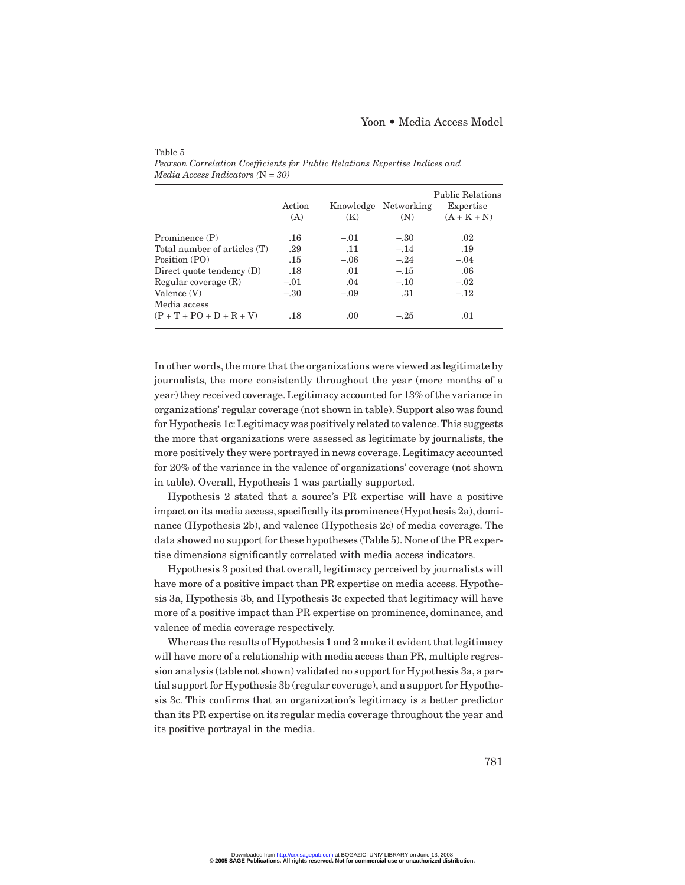|                              | Action<br>(A) | (K)    | Knowledge Networking<br>(N) | <b>Public Relations</b><br>Expertise<br>$(A + K + N)$ |
|------------------------------|---------------|--------|-----------------------------|-------------------------------------------------------|
| Prominence (P)               | .16           | $-.01$ | $-.30$                      | .02                                                   |
| Total number of articles (T) | .29           | .11    | $-.14$                      | .19                                                   |
| Position (PO)                | .15           | $-.06$ | $-.24$                      | $-.04$                                                |
| Direct quote tendency $(D)$  | .18           | .01    | $-.15$                      | .06                                                   |
| Regular coverage $(R)$       | $-.01$        | .04    | $-.10$                      | $-.02$                                                |
| Valence $(V)$                | $-.30$        | $-.09$ | .31                         | $-.12$                                                |
| Media access                 |               |        |                             |                                                       |
| $(P + T + PO + D + R + V)$   | .18           | .00    | $-.25$                      | .01                                                   |

*Pearson Correlation Coefficients for Public Relations Expertise Indices and Media Access Indicators (*N *= 30)*

Table 5

In other words, the more that the organizations were viewed as legitimate by journalists, the more consistently throughout the year (more months of a year) they received coverage.Legitimacy accounted for 13% of the variance in organizations' regular coverage (not shown in table). Support also was found for Hypothesis 1c:Legitimacy was positively related to valence.This suggests the more that organizations were assessed as legitimate by journalists, the more positively they were portrayed in news coverage. Legitimacy accounted for 20% of the variance in the valence of organizations' coverage (not shown in table). Overall, Hypothesis 1 was partially supported.

Hypothesis 2 stated that a source's PR expertise will have a positive impact on its media access, specifically its prominence (Hypothesis 2a), dominance (Hypothesis 2b), and valence (Hypothesis 2c) of media coverage. The data showed no support for these hypotheses (Table 5). None of the PR expertise dimensions significantly correlated with media access indicators.

Hypothesis 3 posited that overall, legitimacy perceived by journalists will have more of a positive impact than PR expertise on media access. Hypothesis 3a, Hypothesis 3b, and Hypothesis 3c expected that legitimacy will have more of a positive impact than PR expertise on prominence, dominance, and valence of media coverage respectively.

Whereas the results of Hypothesis 1 and 2 make it evident that legitimacy will have more of a relationship with media access than PR, multiple regression analysis (table not shown) validated no support for Hypothesis 3a, a partial support for Hypothesis 3b (regular coverage), and a support for Hypothesis 3c. This confirms that an organization's legitimacy is a better predictor than its PR expertise on its regular media coverage throughout the year and its positive portrayal in the media.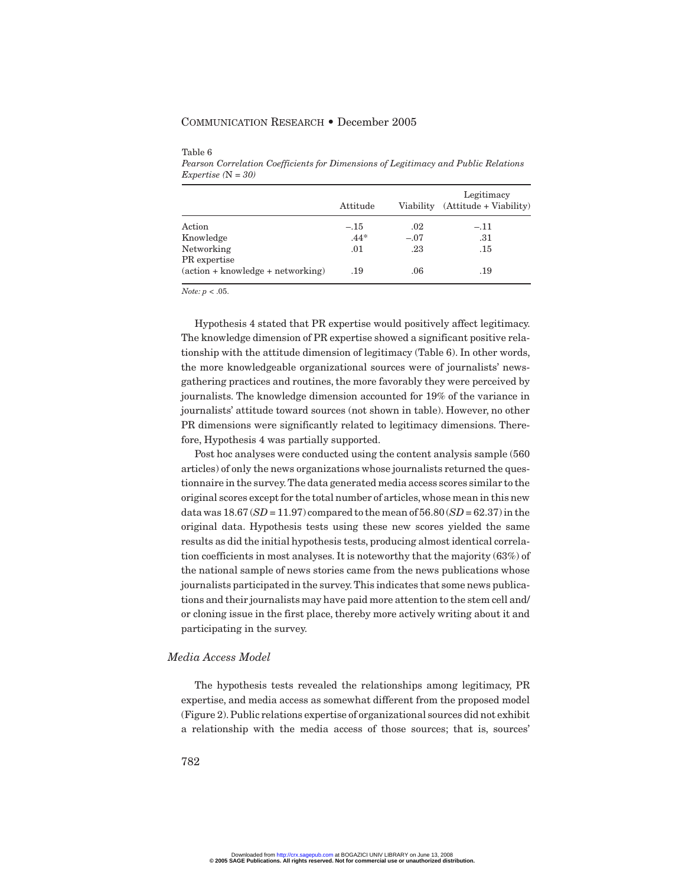|                                                          | Attitude |        | Legitimacy<br>Viability (Attitude + Viability) |
|----------------------------------------------------------|----------|--------|------------------------------------------------|
| Action                                                   | $-.15$   | .02    | $-.11$                                         |
| Knowledge                                                | $.44*$   | $-.07$ | .31                                            |
| Networking                                               | .01      | .23    | .15                                            |
| PR expertise                                             |          |        |                                                |
| $(\text{action} + \text{knowledge} + \text{networking})$ | .19      | .06    | .19                                            |

Table 6

*Pearson Correlation Coefficients for Dimensions of Legitimacy and Public Relations Expertise (*N *= 30)*

*Note: p* < .05.

Hypothesis 4 stated that PR expertise would positively affect legitimacy. The knowledge dimension of PR expertise showed a significant positive relationship with the attitude dimension of legitimacy (Table 6). In other words, the more knowledgeable organizational sources were of journalists' newsgathering practices and routines, the more favorably they were perceived by journalists. The knowledge dimension accounted for 19% of the variance in journalists' attitude toward sources (not shown in table). However, no other PR dimensions were significantly related to legitimacy dimensions. Therefore, Hypothesis 4 was partially supported.

Post hoc analyses were conducted using the content analysis sample (560 articles) of only the news organizations whose journalists returned the questionnaire in the survey.The data generated media access scores similar to the original scores except for the total number of articles,whose mean in this new data was  $18.67(SD = 11.97)$  compared to the mean of  $56.80(SD = 62.37)$  in the original data. Hypothesis tests using these new scores yielded the same results as did the initial hypothesis tests, producing almost identical correlation coefficients in most analyses. It is noteworthy that the majority (63%) of the national sample of news stories came from the news publications whose journalists participated in the survey. This indicates that some news publications and their journalists may have paid more attention to the stem cell and/ or cloning issue in the first place, thereby more actively writing about it and participating in the survey.

#### *Media Access Model*

The hypothesis tests revealed the relationships among legitimacy, PR expertise, and media access as somewhat different from the proposed model (Figure 2).Public relations expertise of organizational sources did not exhibit a relationship with the media access of those sources; that is, sources'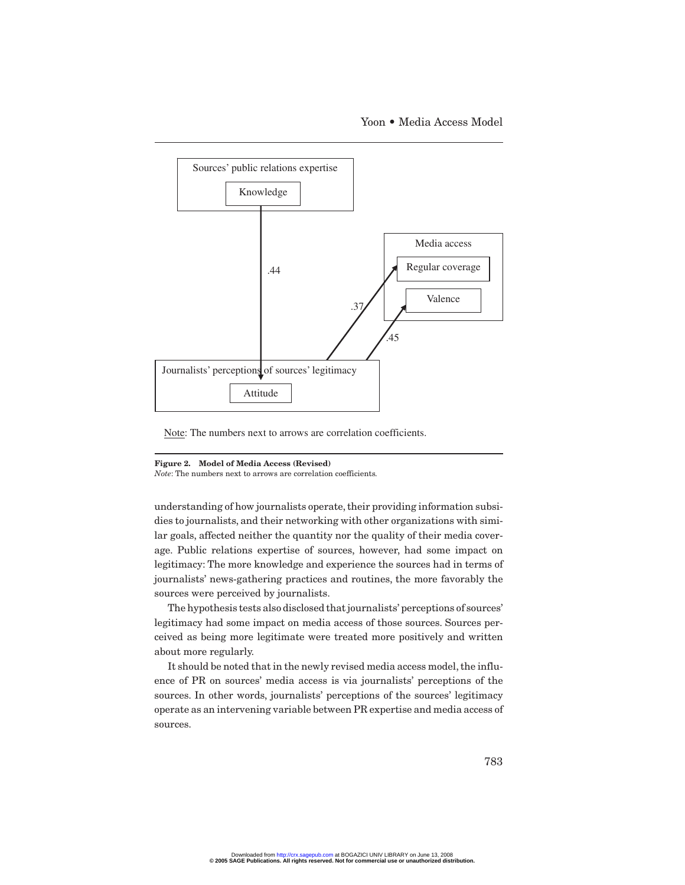Yoon • Media Access Model



Note: The numbers next to arrows are correlation coefficients.

#### **Figure 2. Model of Media Access (Revised)**

*Note*: The numbers next to arrows are correlation coefficients.

understanding of how journalists operate, their providing information subsidies to journalists, and their networking with other organizations with similar goals, affected neither the quantity nor the quality of their media coverage. Public relations expertise of sources, however, had some impact on legitimacy: The more knowledge and experience the sources had in terms of journalists' news-gathering practices and routines, the more favorably the sources were perceived by journalists.

The hypothesis tests also disclosed that journalists' perceptions of sources' legitimacy had some impact on media access of those sources. Sources perceived as being more legitimate were treated more positively and written about more regularly.

It should be noted that in the newly revised media access model, the influence of PR on sources' media access is via journalists' perceptions of the sources. In other words, journalists' perceptions of the sources' legitimacy operate as an intervening variable between PR expertise and media access of sources.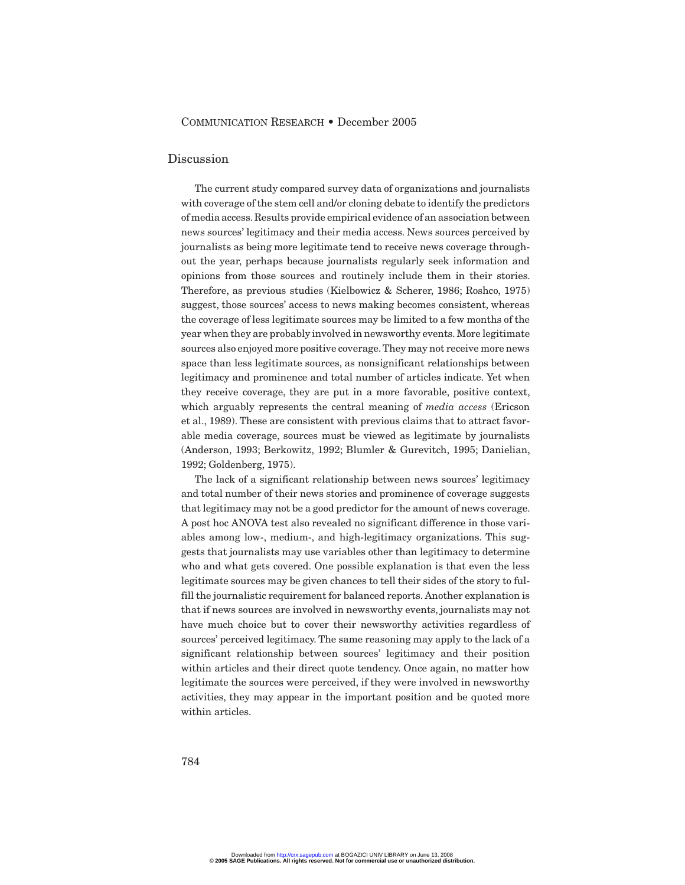#### Discussion

The current study compared survey data of organizations and journalists with coverage of the stem cell and/or cloning debate to identify the predictors of media access.Results provide empirical evidence of an association between news sources' legitimacy and their media access. News sources perceived by journalists as being more legitimate tend to receive news coverage throughout the year, perhaps because journalists regularly seek information and opinions from those sources and routinely include them in their stories. Therefore, as previous studies (Kielbowicz & Scherer, 1986; Roshco, 1975) suggest, those sources' access to news making becomes consistent, whereas the coverage of less legitimate sources may be limited to a few months of the year when they are probably involved in newsworthy events. More legitimate sources also enjoyed more positive coverage. They may not receive more news space than less legitimate sources, as nonsignificant relationships between legitimacy and prominence and total number of articles indicate. Yet when they receive coverage, they are put in a more favorable, positive context, which arguably represents the central meaning of *media access* (Ericson et al., 1989). These are consistent with previous claims that to attract favorable media coverage, sources must be viewed as legitimate by journalists (Anderson, 1993; Berkowitz, 1992; Blumler & Gurevitch, 1995; Danielian, 1992; Goldenberg, 1975).

The lack of a significant relationship between news sources' legitimacy and total number of their news stories and prominence of coverage suggests that legitimacy may not be a good predictor for the amount of news coverage. A post hoc ANOVA test also revealed no significant difference in those variables among low-, medium-, and high-legitimacy organizations. This suggests that journalists may use variables other than legitimacy to determine who and what gets covered. One possible explanation is that even the less legitimate sources may be given chances to tell their sides of the story to fulfill the journalistic requirement for balanced reports. Another explanation is that if news sources are involved in newsworthy events, journalists may not have much choice but to cover their newsworthy activities regardless of sources' perceived legitimacy. The same reasoning may apply to the lack of a significant relationship between sources' legitimacy and their position within articles and their direct quote tendency. Once again, no matter how legitimate the sources were perceived, if they were involved in newsworthy activities, they may appear in the important position and be quoted more within articles.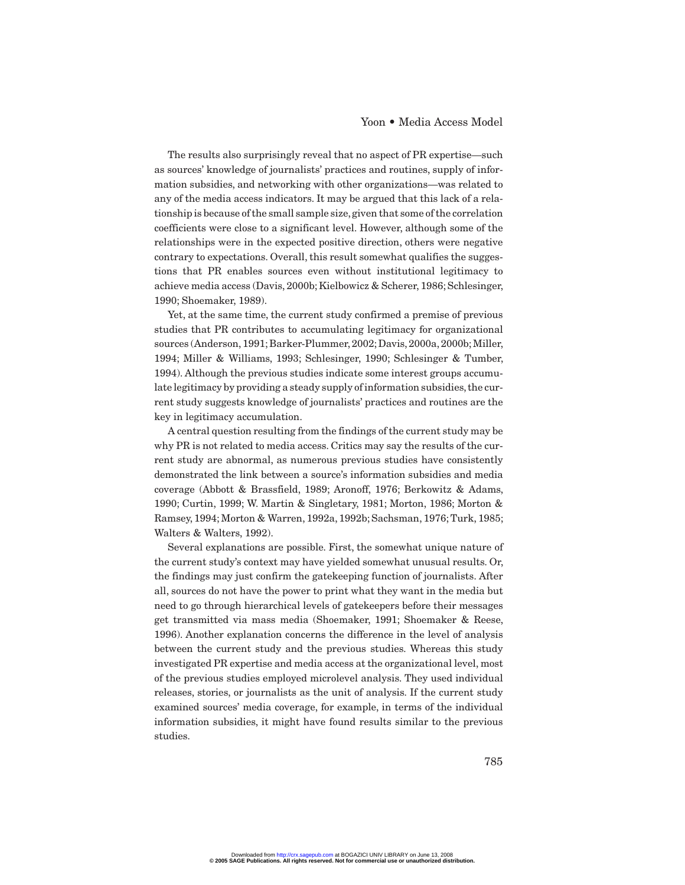The results also surprisingly reveal that no aspect of PR expertise—such as sources' knowledge of journalists' practices and routines, supply of information subsidies, and networking with other organizations—was related to any of the media access indicators. It may be argued that this lack of a relationship is because of the small sample size,given that some of the correlation coefficients were close to a significant level. However, although some of the relationships were in the expected positive direction, others were negative contrary to expectations. Overall, this result somewhat qualifies the suggestions that PR enables sources even without institutional legitimacy to achieve media access (Davis, 2000b; Kielbowicz & Scherer, 1986; Schlesinger, 1990; Shoemaker, 1989).

Yet, at the same time, the current study confirmed a premise of previous studies that PR contributes to accumulating legitimacy for organizational sources (Anderson, 1991; Barker-Plummer, 2002; Davis, 2000a, 2000b; Miller, 1994; Miller & Williams, 1993; Schlesinger, 1990; Schlesinger & Tumber, 1994). Although the previous studies indicate some interest groups accumulate legitimacy by providing a steady supply of information subsidies, the current study suggests knowledge of journalists' practices and routines are the key in legitimacy accumulation.

A central question resulting from the findings of the current study may be why PR is not related to media access. Critics may say the results of the current study are abnormal, as numerous previous studies have consistently demonstrated the link between a source's information subsidies and media coverage (Abbott & Brassfield, 1989; Aronoff, 1976; Berkowitz & Adams, 1990; Curtin, 1999; W. Martin & Singletary, 1981; Morton, 1986; Morton & Ramsey, 1994; Morton & Warren, 1992a, 1992b; Sachsman, 1976; Turk, 1985; Walters & Walters, 1992).

Several explanations are possible. First, the somewhat unique nature of the current study's context may have yielded somewhat unusual results. Or, the findings may just confirm the gatekeeping function of journalists. After all, sources do not have the power to print what they want in the media but need to go through hierarchical levels of gatekeepers before their messages get transmitted via mass media (Shoemaker, 1991; Shoemaker & Reese, 1996). Another explanation concerns the difference in the level of analysis between the current study and the previous studies. Whereas this study investigated PR expertise and media access at the organizational level, most of the previous studies employed microlevel analysis. They used individual releases, stories, or journalists as the unit of analysis. If the current study examined sources' media coverage, for example, in terms of the individual information subsidies, it might have found results similar to the previous studies.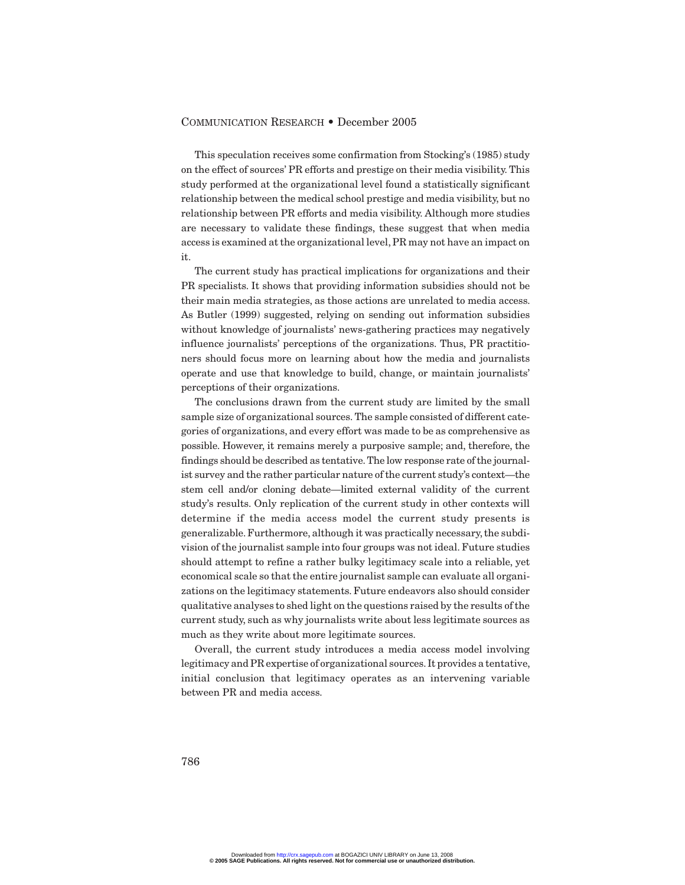This speculation receives some confirmation from Stocking's (1985) study on the effect of sources' PR efforts and prestige on their media visibility. This study performed at the organizational level found a statistically significant relationship between the medical school prestige and media visibility, but no relationship between PR efforts and media visibility. Although more studies are necessary to validate these findings, these suggest that when media access is examined at the organizational level, PR may not have an impact on it.

The current study has practical implications for organizations and their PR specialists. It shows that providing information subsidies should not be their main media strategies, as those actions are unrelated to media access. As Butler (1999) suggested, relying on sending out information subsidies without knowledge of journalists' news-gathering practices may negatively influence journalists' perceptions of the organizations. Thus, PR practitioners should focus more on learning about how the media and journalists operate and use that knowledge to build, change, or maintain journalists' perceptions of their organizations.

The conclusions drawn from the current study are limited by the small sample size of organizational sources. The sample consisted of different categories of organizations, and every effort was made to be as comprehensive as possible. However, it remains merely a purposive sample; and, therefore, the findings should be described as tentative. The low response rate of the journalist survey and the rather particular nature of the current study's context—the stem cell and/or cloning debate—limited external validity of the current study's results. Only replication of the current study in other contexts will determine if the media access model the current study presents is generalizable. Furthermore, although it was practically necessary, the subdivision of the journalist sample into four groups was not ideal. Future studies should attempt to refine a rather bulky legitimacy scale into a reliable, yet economical scale so that the entire journalist sample can evaluate all organizations on the legitimacy statements. Future endeavors also should consider qualitative analyses to shed light on the questions raised by the results of the current study, such as why journalists write about less legitimate sources as much as they write about more legitimate sources.

Overall, the current study introduces a media access model involving legitimacy and PR expertise of organizational sources.It provides a tentative, initial conclusion that legitimacy operates as an intervening variable between PR and media access.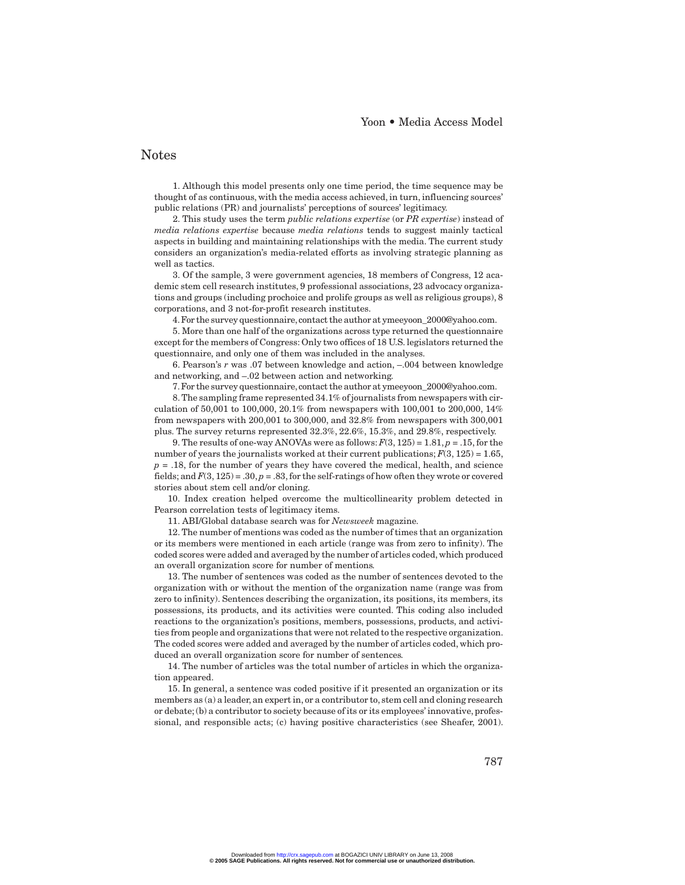#### Notes

1. Although this model presents only one time period, the time sequence may be thought of as continuous, with the media access achieved, in turn, influencing sources' public relations (PR) and journalists' perceptions of sources' legitimacy.

2. This study uses the term *public relations expertise* (or *PR expertise*) instead of *media relations expertise* because *media relations* tends to suggest mainly tactical aspects in building and maintaining relationships with the media. The current study considers an organization's media-related efforts as involving strategic planning as well as tactics.

3. Of the sample, 3 were government agencies, 18 members of Congress, 12 academic stem cell research institutes, 9 professional associations, 23 advocacy organizations and groups (including prochoice and prolife groups as well as religious groups), 8 corporations, and 3 not-for-profit research institutes.

4. For the survey questionnaire, contact the author at ymeeyoon\_2000@yahoo.com.

5. More than one half of the organizations across type returned the questionnaire except for the members of Congress: Only two offices of 18 U.S. legislators returned the questionnaire, and only one of them was included in the analyses.

6. Pearson's *r* was .07 between knowledge and action, –.004 between knowledge and networking, and –.02 between action and networking.

7. For the survey questionnaire, contact the author at ymeeyoon  $2000@yahoo.com$ .

8. The sampling frame represented 34.1% of journalists from newspapers with circulation of 50,001 to 100,000, 20.1% from newspapers with 100,001 to 200,000, 14% from newspapers with 200,001 to 300,000, and 32.8% from newspapers with 300,001 plus. The survey returns represented 32.3%, 22.6%, 15.3%, and 29.8%, respectively.

9. The results of one-way ANOVAs were as follows:  $F(3, 125) = 1.81$ ,  $p = .15$ , for the number of years the journalists worked at their current publications;  $F(3, 125) = 1.65$ ,  $p = 0.18$ , for the number of years they have covered the medical, health, and science fields; and  $F(3, 125) = .30$ ,  $p = .83$ , for the self-ratings of how often they wrote or covered stories about stem cell and/or cloning.

10. Index creation helped overcome the multicollinearity problem detected in Pearson correlation tests of legitimacy items.

11. ABI/Global database search was for *Newsweek* magazine.

12. The number of mentions was coded as the number of times that an organization or its members were mentioned in each article (range was from zero to infinity). The coded scores were added and averaged by the number of articles coded, which produced an overall organization score for number of mentions.

13. The number of sentences was coded as the number of sentences devoted to the organization with or without the mention of the organization name (range was from zero to infinity). Sentences describing the organization, its positions, its members, its possessions, its products, and its activities were counted. This coding also included reactions to the organization's positions, members, possessions, products, and activities from people and organizations that were not related to the respective organization. The coded scores were added and averaged by the number of articles coded, which produced an overall organization score for number of sentences.

14. The number of articles was the total number of articles in which the organization appeared.

15. In general, a sentence was coded positive if it presented an organization or its members as (a) a leader, an expert in, or a contributor to, stem cell and cloning research or debate; (b) a contributor to society because of its or its employees' innovative, professional, and responsible acts; (c) having positive characteristics (see Sheafer, 2001).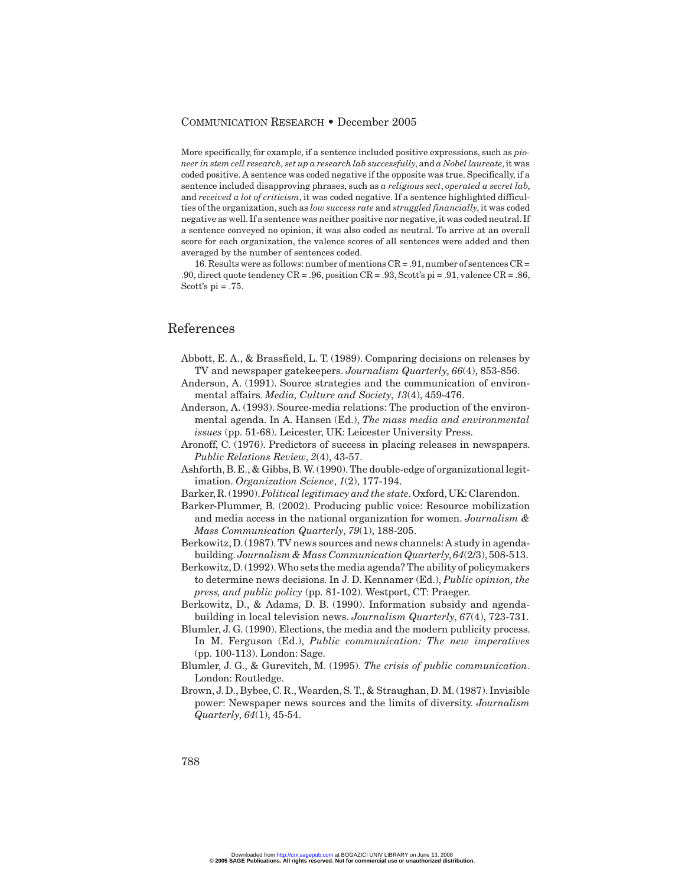More specifically, for example, if a sentence included positive expressions, such as *pioneer in stem cell research, set up a research lab successfully*, and *a Nobel laureate*, it was coded positive. A sentence was coded negative if the opposite was true. Specifically, if a sentence included disapproving phrases, such as *a religious sect*, *operated a secret lab*, and *received a lot of criticism*, it was coded negative. If a sentence highlighted difficulties of the organization, such as *low success rate* and *struggled financially*, it was coded negative as well.If a sentence was neither positive nor negative, it was coded neutral.If a sentence conveyed no opinion, it was also coded as neutral. To arrive at an overall score for each organization, the valence scores of all sentences were added and then averaged by the number of sentences coded.

16. Results were as follows:number of mentions CR = .91, number of sentences CR = .90, direct quote tendency CR = .96, position CR = .93, Scott's pi = .91, valence CR = .86, Scott's  $pi = .75$ .

## References

- Abbott, E. A., & Brassfield, L. T. (1989). Comparing decisions on releases by TV and newspaper gatekeepers. *Journalism Quarterly*, *66*(4), 853-856.
- Anderson, A. (1991). Source strategies and the communication of environmental affairs. *Media, Culture and Society*, *13*(4), 459-476.
- Anderson, A. (1993). Source-media relations: The production of the environmental agenda. In A. Hansen (Ed.), *The mass media and environmental issues* (pp. 51-68). Leicester, UK: Leicester University Press.
- Aronoff, C. (1976). Predictors of success in placing releases in newspapers. *Public Relations Review*, *2*(4), 43-57.
- Ashforth, B. E., & Gibbs, B. W. (1990).The double-edge of organizational legitimation. *Organization Science*, *1*(2), 177-194.
- Barker,R.(1990).*Political legitimacy and the state*.Oxford,UK:Clarendon.
- Barker-Plummer, B. (2002). Producing public voice: Resource mobilization and media access in the national organization for women. *Journalism & Mass Communication Quarterly*, *79*(1), 188-205.
- Berkowitz,D.(1987).TV news sources and news channels:A study in agendabuilding.*Journalism & Mass Communication Quarterly*,*64*(2/3),508-513.
- Berkowitz,D.(1992).Who sets the media agenda? The ability of policymakers to determine news decisions. In J. D. Kennamer (Ed.), *Public opinion, the press, and public policy* (pp. 81-102). Westport, CT: Praeger.
- Berkowitz, D., & Adams, D. B. (1990). Information subsidy and agendabuilding in local television news. *Journalism Quarterly*, *67*(4), 723-731.
- Blumler, J. G. (1990). Elections, the media and the modern publicity process. In M. Ferguson (Ed.), *Public communication: The new imperatives* (pp. 100-113). London: Sage.
- Blumler, J. G., & Gurevitch, M. (1995). *The crisis of public communication*. London: Routledge.
- Brown, J. D., Bybee, C. R., Wearden, S. T., & Straughan, D. M. (1987). Invisible power: Newspaper news sources and the limits of diversity. *Journalism Quarterly*, *64*(1), 45-54.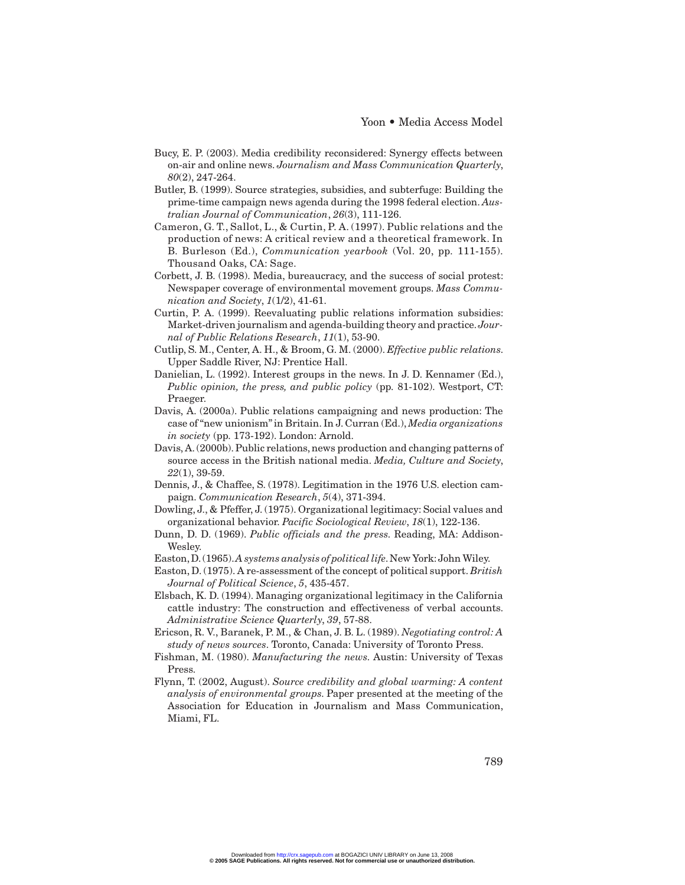- Bucy, E. P. (2003). Media credibility reconsidered: Synergy effects between on-air and online news. *Journalism and Mass Communication Quarterly*, *80*(2), 247-264.
- Butler, B. (1999). Source strategies, subsidies, and subterfuge: Building the prime-time campaign news agenda during the 1998 federal election. *Australian Journal of Communication*, *26*(3), 111-126.
- Cameron, G. T., Sallot, L., & Curtin, P. A. (1997). Public relations and the production of news: A critical review and a theoretical framework. In B. Burleson (Ed.), *Communication yearbook* (Vol. 20, pp. 111-155). Thousand Oaks, CA: Sage.
- Corbett, J. B. (1998). Media, bureaucracy, and the success of social protest: Newspaper coverage of environmental movement groups. *Mass Communication and Society*, *1*(1/2), 41-61.
- Curtin, P. A. (1999). Reevaluating public relations information subsidies: Market-driven journalism and agenda-building theory and practice.*Journal of Public Relations Research*, *11*(1), 53-90.
- Cutlip, S. M., Center, A. H., & Broom, G. M. (2000). *Effective public relations*. Upper Saddle River, NJ: Prentice Hall.
- Danielian, L. (1992). Interest groups in the news. In J. D. Kennamer (Ed.), *Public opinion, the press, and public policy* (pp. 81-102). Westport, CT: Praeger.
- Davis, A. (2000a). Public relations campaigning and news production: The case of "new unionism" in Britain. In J. Curran (Ed.), *Media organizations in society* (pp. 173-192). London: Arnold.
- Davis, A. (2000b). Public relations, news production and changing patterns of source access in the British national media. *Media, Culture and Society*, *22*(1), 39-59.
- Dennis, J., & Chaffee, S. (1978). Legitimation in the 1976 U.S. election campaign. *Communication Research*, *5*(4), 371-394.
- Dowling, J., & Pfeffer, J. (1975). Organizational legitimacy: Social values and organizational behavior. *Pacific Sociological Review*, *18*(1), 122-136.
- Dunn, D. D. (1969). *Public officials and the press*. Reading, MA: Addison-Wesley.
- Easton,D.(1965).*A systems analysis of political life*.New York:John Wiley.
- Easton, D. (1975). A re-assessment of the concept of political support. *British Journal of Political Science*, *5*, 435-457.
- Elsbach, K. D. (1994). Managing organizational legitimacy in the California cattle industry: The construction and effectiveness of verbal accounts. *Administrative Science Quarterly*, *39*, 57-88.
- Ericson, R. V., Baranek, P. M., & Chan, J. B. L. (1989). *Negotiating control: A study of news sources*. Toronto, Canada: University of Toronto Press.
- Fishman, M. (1980). *Manufacturing the news*. Austin: University of Texas Press.
- Flynn, T. (2002, August). *Source credibility and global warming: A content analysis of environmental groups*. Paper presented at the meeting of the Association for Education in Journalism and Mass Communication, Miami, FL.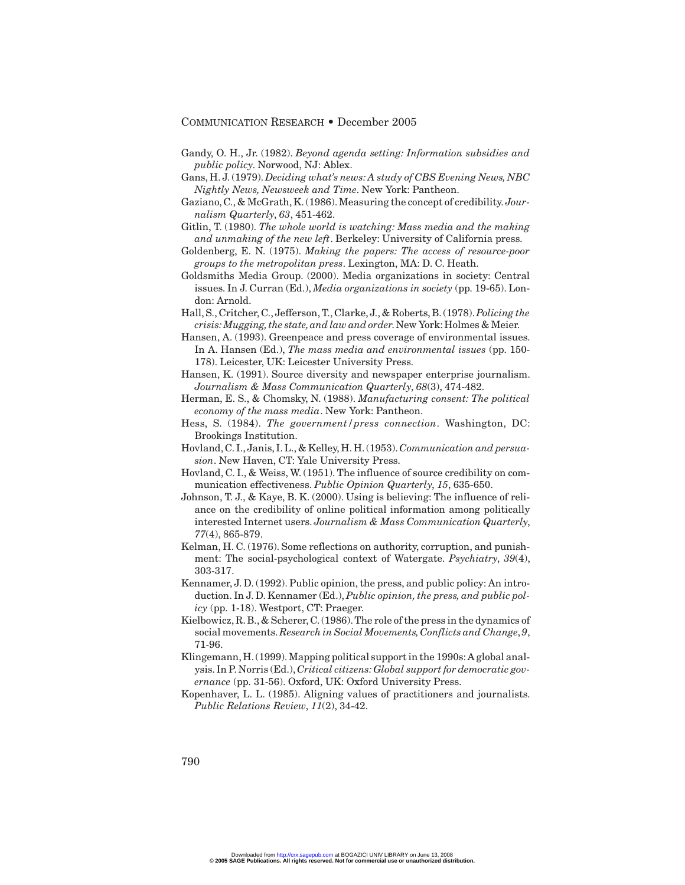- Gandy, O. H., Jr. (1982). *Beyond agenda setting: Information subsidies and public policy*. Norwood, NJ: Ablex.
- Gans, H. J. (1979). *Deciding what's news: A study of CBS Evening News, NBC Nightly News, Newsweek and Time*. New York: Pantheon.
- Gaziano, C., & McGrath, K. (1986).Measuring the concept of credibility.*Journalism Quarterly*, *63*, 451-462.
- Gitlin, T. (1980). *The whole world is watching: Mass media and the making and unmaking of the new left*. Berkeley: University of California press.
- Goldenberg, E. N. (1975). *Making the papers: The access of resource-poor groups to the metropolitan press*. Lexington, MA: D. C. Heath.
- Goldsmiths Media Group. (2000). Media organizations in society: Central issues. In J. Curran (Ed.), *Media organizations in society* (pp. 19-65). London: Arnold.
- Hall, S., Critcher, C., Jefferson, T., Clarke, J., & Roberts, B. (1978).*Policing the crisis: Mugging,the state,and law and order*.New York:Holmes & Meier.
- Hansen, A. (1993). Greenpeace and press coverage of environmental issues. In A. Hansen (Ed.), *The mass media and environmental issues* (pp. 150- 178). Leicester, UK: Leicester University Press.
- Hansen, K. (1991). Source diversity and newspaper enterprise journalism. *Journalism & Mass Communication Quarterly*, *68*(3), 474-482.
- Herman, E. S., & Chomsky, N. (1988). *Manufacturing consent: The political economy of the mass media*. New York: Pantheon.
- Hess, S. (1984). *The government/press connection*. Washington, DC: Brookings Institution.
- Hovland, C. I., Janis, I. L., & Kelley, H. H. (1953).*Communication and persuasion*. New Haven, CT: Yale University Press.
- Hovland, C. I., & Weiss, W. (1951). The influence of source credibility on communication effectiveness. *Public Opinion Quarterly*, *15*, 635-650.
- Johnson, T. J., & Kaye, B. K. (2000). Using is believing: The influence of reliance on the credibility of online political information among politically interested Internet users. *Journalism & Mass Communication Quarterly*, *77*(4), 865-879.
- Kelman, H. C. (1976). Some reflections on authority, corruption, and punishment: The social-psychological context of Watergate. *Psychiatry*, *39*(4), 303-317.
- Kennamer, J. D. (1992). Public opinion, the press, and public policy: An introduction. In J. D. Kennamer (Ed.), *Public opinion, the press, and public policy* (pp. 1-18). Westport, CT: Praeger.
- Kielbowicz, R. B., & Scherer, C. (1986).The role of the press in the dynamics of social movements.*Research in Social Movements,Conflicts and Change*,*9*, 71-96.
- Klingemann,H.(1999).Mapping political support in the 1990s:A global analysis. In P. Norris (Ed.), *Critical citizens: Global support for democratic governance* (pp. 31-56). Oxford, UK: Oxford University Press.
- Kopenhaver, L. L. (1985). Aligning values of practitioners and journalists. *Public Relations Review*, *11*(2), 34-42.

790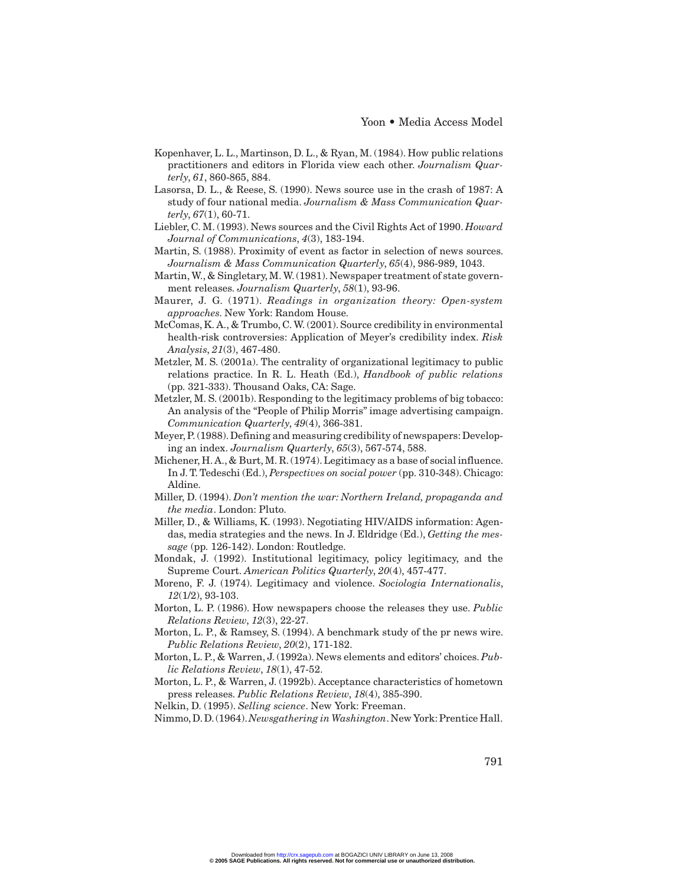- Kopenhaver, L. L., Martinson, D. L., & Ryan, M. (1984). How public relations practitioners and editors in Florida view each other. *Journalism Quarterly*, *61*, 860-865, 884.
- Lasorsa, D. L., & Reese, S. (1990). News source use in the crash of 1987: A study of four national media. *Journalism & Mass Communication Quarterly*, *67*(1), 60-71.
- Liebler, C. M. (1993). News sources and the Civil Rights Act of 1990. *Howard Journal of Communications*, *4*(3), 183-194.
- Martin, S. (1988). Proximity of event as factor in selection of news sources. *Journalism & Mass Communication Quarterly*, *65*(4), 986-989, 1043.
- Martin, W., & Singletary, M. W. (1981). Newspaper treatment of state government releases. *Journalism Quarterly*, *58*(1), 93-96.
- Maurer, J. G. (1971). *Readings in organization theory: Open-system approaches*. New York: Random House.
- McComas, K. A., & Trumbo, C. W. (2001). Source credibility in environmental health-risk controversies: Application of Meyer's credibility index. *Risk Analysis*, *21*(3), 467-480.
- Metzler, M. S. (2001a). The centrality of organizational legitimacy to public relations practice. In R. L. Heath (Ed.), *Handbook of public relations* (pp. 321-333). Thousand Oaks, CA: Sage.
- Metzler, M. S. (2001b). Responding to the legitimacy problems of big tobacco: An analysis of the "People of Philip Morris" image advertising campaign. *Communication Quarterly*, *49*(4), 366-381.
- Meyer, P. (1988). Defining and measuring credibility of newspapers: Developing an index. *Journalism Quarterly*, *65*(3), 567-574, 588.
- Michener, H. A., & Burt, M. R. (1974). Legitimacy as a base of social influence. In J. T. Tedeschi (Ed.), *Perspectives on social power* (pp. 310-348). Chicago: Aldine.
- Miller, D. (1994). *Don't mention the war: Northern Ireland, propaganda and the media*. London: Pluto.
- Miller, D., & Williams, K. (1993). Negotiating HIV/AIDS information: Agendas, media strategies and the news. In J. Eldridge (Ed.), *Getting the message* (pp. 126-142). London: Routledge.
- Mondak, J. (1992). Institutional legitimacy, policy legitimacy, and the Supreme Court. *American Politics Quarterly*, *20*(4), 457-477.
- Moreno, F. J. (1974). Legitimacy and violence. *Sociologia Internationalis*, *12*(1/2), 93-103.
- Morton, L. P. (1986). How newspapers choose the releases they use. *Public Relations Review*, *12*(3), 22-27.
- Morton, L. P., & Ramsey, S. (1994). A benchmark study of the pr news wire. *Public Relations Review*, *20*(2), 171-182.
- Morton, L. P., & Warren, J. (1992a). News elements and editors' choices. *Public Relations Review*, *18*(1), 47-52.
- Morton, L. P., & Warren, J. (1992b). Acceptance characteristics of hometown press releases. *Public Relations Review*, *18*(4), 385-390.
- Nelkin, D. (1995). *Selling science*. New York: Freeman.

Nimmo,D.D.(1964).*Newsgathering in Washington*.New York:Prentice Hall.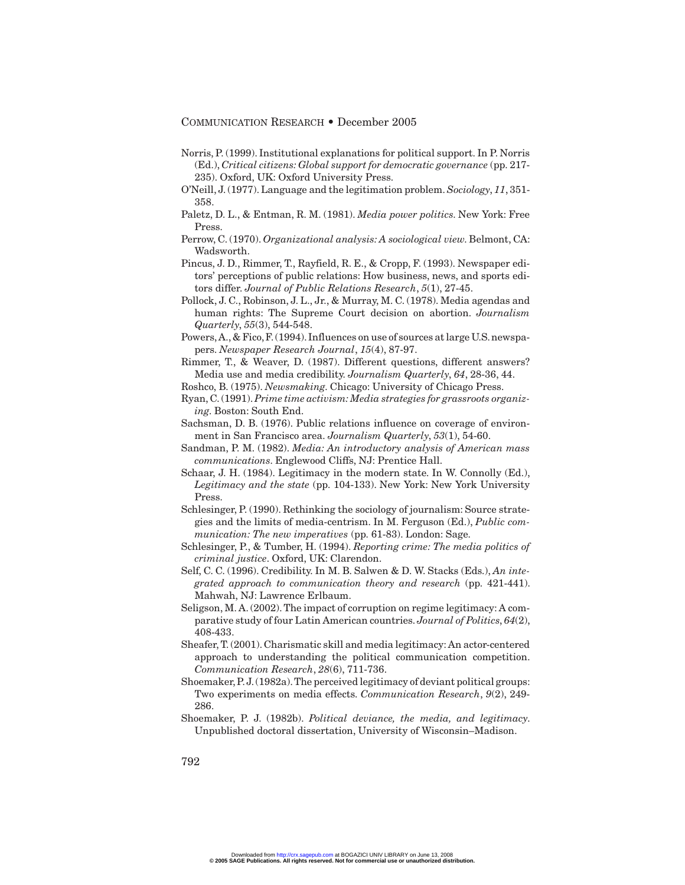- Norris, P. (1999). Institutional explanations for political support. In P. Norris (Ed.), *Critical citizens: Global support for democratic governance* (pp. 217- 235). Oxford, UK: Oxford University Press.
- O'Neill, J. (1977). Language and the legitimation problem.*Sociology*, *11*, 351- 358.
- Paletz, D. L., & Entman, R. M. (1981). *Media power politics*. New York: Free Press.
- Perrow, C. (1970). *Organizational analysis: A sociological view*. Belmont, CA: Wadsworth.
- Pincus, J. D., Rimmer, T., Rayfield, R. E., & Cropp, F. (1993). Newspaper editors' perceptions of public relations: How business, news, and sports editors differ. *Journal of Public Relations Research*, *5*(1), 27-45.
- Pollock, J. C., Robinson, J. L., Jr., & Murray, M. C. (1978). Media agendas and human rights: The Supreme Court decision on abortion. *Journalism Quarterly*, *55*(3), 544-548.
- Powers, A., & Fico, F. (1994). Influences on use of sources at large U.S. newspapers. *Newspaper Research Journal*, *15*(4), 87-97.
- Rimmer, T., & Weaver, D. (1987). Different questions, different answers? Media use and media credibility. *Journalism Quarterly*, *64*, 28-36, 44.
- Roshco, B. (1975). *Newsmaking*. Chicago: University of Chicago Press.
- Ryan, C. (1991).*Prime time activism: Media strategies for grassroots organizing*. Boston: South End.
- Sachsman, D. B. (1976). Public relations influence on coverage of environment in San Francisco area. *Journalism Quarterly*, *53*(1), 54-60.
- Sandman, P. M. (1982). *Media: An introductory analysis of American mass communications*. Englewood Cliffs, NJ: Prentice Hall.
- Schaar, J. H. (1984). Legitimacy in the modern state. In W. Connolly (Ed.), *Legitimacy and the state* (pp. 104-133). New York: New York University Press.
- Schlesinger, P. (1990). Rethinking the sociology of journalism: Source strategies and the limits of media-centrism. In M. Ferguson (Ed.), *Public communication: The new imperatives* (pp. 61-83). London: Sage.
- Schlesinger, P., & Tumber, H. (1994). *Reporting crime: The media politics of criminal justice*. Oxford, UK: Clarendon.
- Self, C. C. (1996). Credibility. In M. B. Salwen & D. W. Stacks (Eds.), *An integrated approach to communication theory and research* (pp. 421-441). Mahwah, NJ: Lawrence Erlbaum.
- Seligson, M. A. (2002). The impact of corruption on regime legitimacy: A comparative study of four Latin American countries. *Journal of Politics*, *64*(2), 408-433.
- Sheafer, T. (2001). Charismatic skill and media legitimacy: An actor-centered approach to understanding the political communication competition. *Communication Research*, *28*(6), 711-736.
- Shoemaker, P.J. (1982a). The perceived legitimacy of deviant political groups: Two experiments on media effects. *Communication Research*, *9*(2), 249- 286.
- Shoemaker, P. J. (1982b). *Political deviance, the media, and legitimacy*. Unpublished doctoral dissertation, University of Wisconsin–Madison.